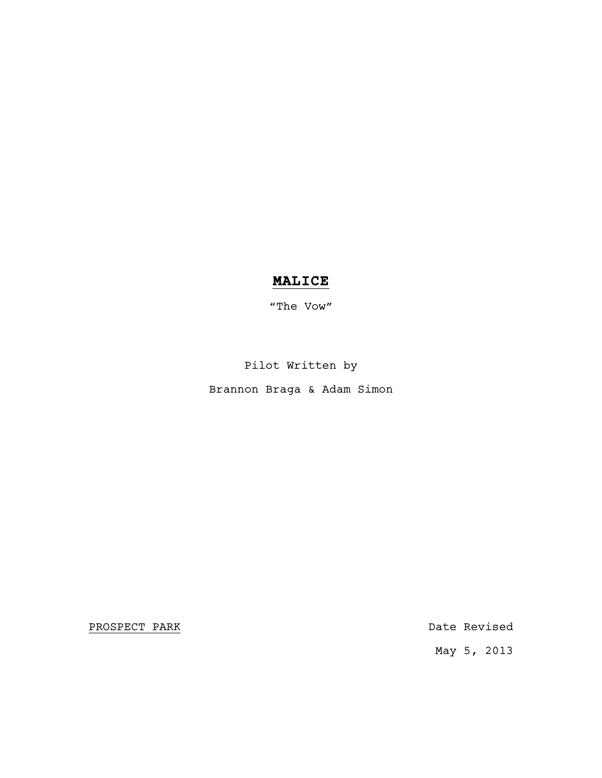# **MALICE**

"The Vow"

Pilot Written by

Brannon Braga & Adam Simon

PROSPECT PARK Date Revised

May 5, 2013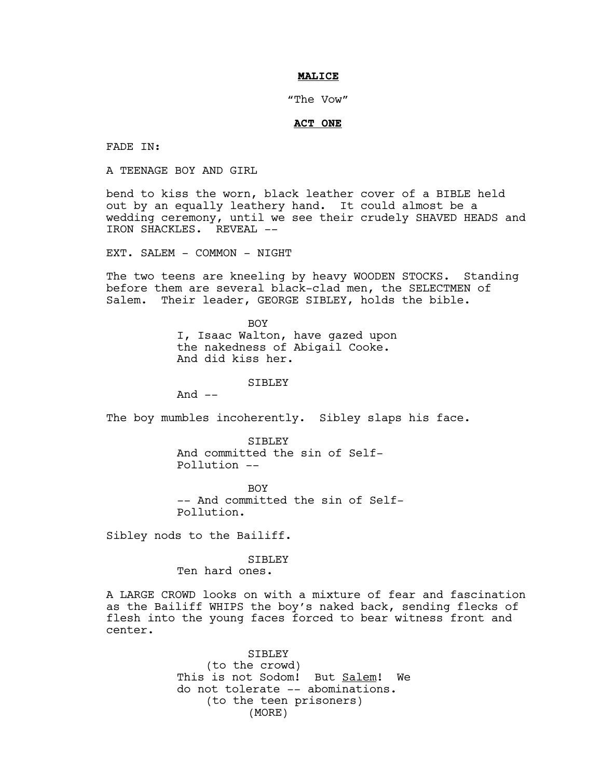### **MALICE**

"The Vow"

# **ACT ONE**

FADE IN:

A TEENAGE BOY AND GIRL

bend to kiss the worn, black leather cover of a BIBLE held out by an equally leathery hand. It could almost be a wedding ceremony, until we see their crudely SHAVED HEADS and IRON SHACKLES. REVEAL --

EXT. SALEM - COMMON - NIGHT

The two teens are kneeling by heavy WOODEN STOCKS. Standing before them are several black-clad men, the SELECTMEN of Salem. Their leader, GEORGE SIBLEY, holds the bible.

> BOY I, Isaac Walton, have gazed upon the nakedness of Abigail Cooke. And did kiss her.

> > SIBLEY

And  $--$ 

The boy mumbles incoherently. Sibley slaps his face.

SIBLEY And committed the sin of Self-Pollution --

**BOY** -- And committed the sin of Self-Pollution.

Sibley nods to the Bailiff.

#### SIBLEY

Ten hard ones.

A LARGE CROWD looks on with a mixture of fear and fascination as the Bailiff WHIPS the boy's naked back, sending flecks of flesh into the young faces forced to bear witness front and center.

> SIBLEY (to the crowd) This is not Sodom! But Salem! We do not tolerate -- abominations. (to the teen prisoners) (MORE)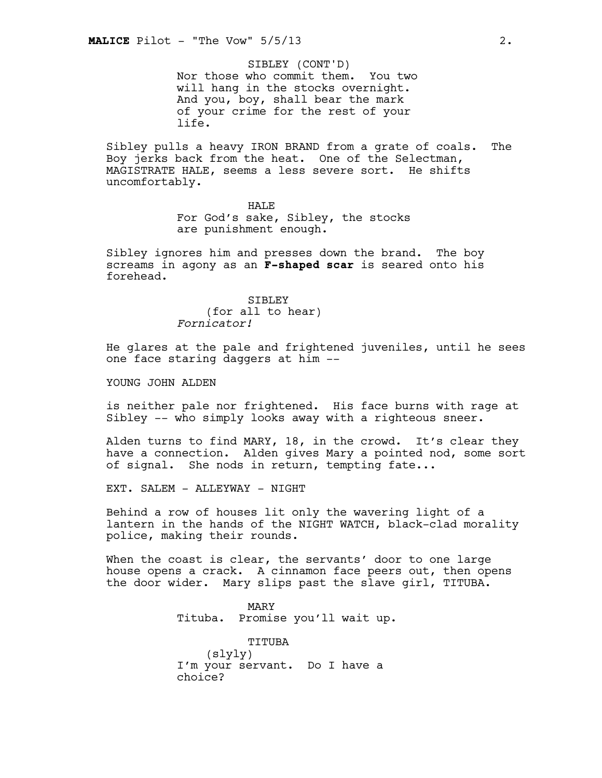Nor those who commit them. You two will hang in the stocks overnight. And you, boy, shall bear the mark of your crime for the rest of your life. SIBLEY (CONT'D)

Sibley pulls a heavy IRON BRAND from a grate of coals. The Boy jerks back from the heat. One of the Selectman, MAGISTRATE HALE, seems a less severe sort. He shifts uncomfortably.

> HALE For God's sake, Sibley, the stocks are punishment enough.

Sibley ignores him and presses down the brand. The boy screams in agony as an **F-shaped scar** is seared onto his forehead.

> SIBLEY (for all to hear) *Fornicator!*

He glares at the pale and frightened juveniles, until he sees one face staring daggers at him --

YOUNG JOHN ALDEN

is neither pale nor frightened. His face burns with rage at Sibley -- who simply looks away with a righteous sneer.

Alden turns to find MARY, 18, in the crowd. It's clear they have a connection. Alden gives Mary a pointed nod, some sort of signal. She nods in return, tempting fate...

EXT. SALEM - ALLEYWAY - NIGHT

Behind a row of houses lit only the wavering light of a lantern in the hands of the NIGHT WATCH, black-clad morality police, making their rounds.

When the coast is clear, the servants' door to one large house opens a crack. A cinnamon face peers out, then opens the door wider. Mary slips past the slave girl, TITUBA.

> MARY Tituba. Promise you'll wait up.

TITUBA (slyly) I'm your servant. Do I have a choice?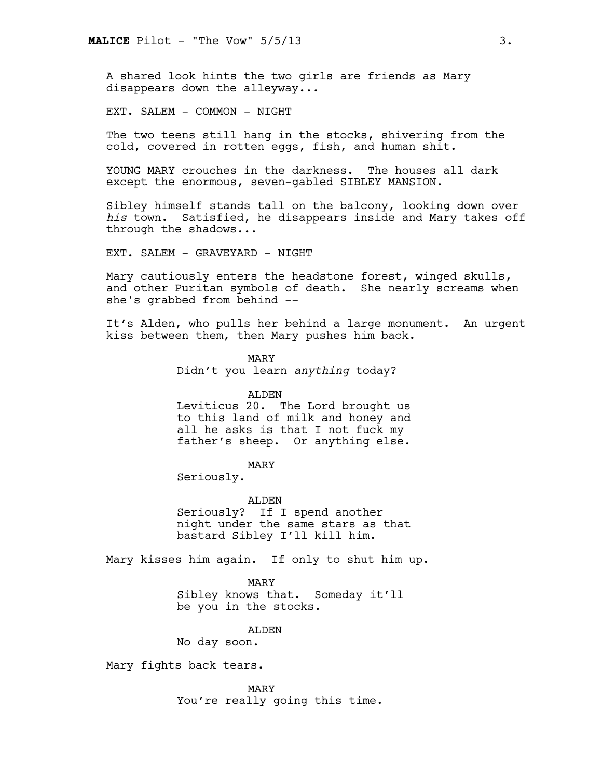A shared look hints the two girls are friends as Mary disappears down the alleyway...

EXT. SALEM - COMMON - NIGHT

The two teens still hang in the stocks, shivering from the cold, covered in rotten eggs, fish, and human shit.

YOUNG MARY crouches in the darkness. The houses all dark except the enormous, seven-gabled SIBLEY MANSION.

Sibley himself stands tall on the balcony, looking down over *his* town. Satisfied, he disappears inside and Mary takes off through the shadows...

EXT. SALEM - GRAVEYARD - NIGHT

Mary cautiously enters the headstone forest, winged skulls, and other Puritan symbols of death. She nearly screams when she's grabbed from behind --

It's Alden, who pulls her behind a large monument. An urgent kiss between them, then Mary pushes him back.

> MARY Didn't you learn *anything* today?

ALDEN Leviticus 20. The Lord brought us to this land of milk and honey and all he asks is that I not fuck my father's sheep. Or anything else.

MARY

Seriously.

ALDEN Seriously? If I spend another night under the same stars as that bastard Sibley I'll kill him.

Mary kisses him again. If only to shut him up.

MARY Sibley knows that. Someday it'll be you in the stocks.

ALDEN

No day soon.

Mary fights back tears.

MARY You're really going this time.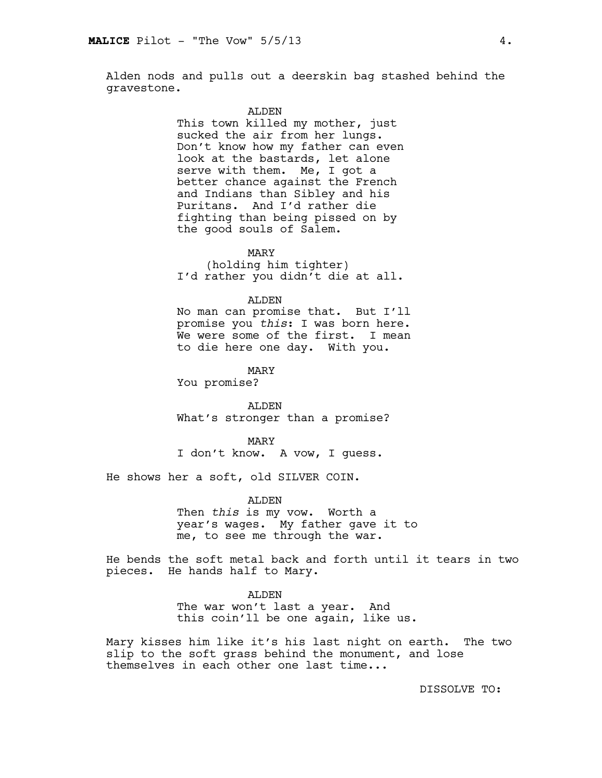Alden nods and pulls out a deerskin bag stashed behind the gravestone.

#### ALDEN

This town killed my mother, just sucked the air from her lungs. Don't know how my father can even look at the bastards, let alone serve with them. Me, I got a better chance against the French and Indians than Sibley and his Puritans. And I'd rather die fighting than being pissed on by the good souls of Salem.

MARY

(holding him tighter) I'd rather you didn't die at all.

#### ALDEN

No man can promise that. But I'll promise you *this*: I was born here. We were some of the first. I mean to die here one day. With you.

MARY

You promise?

ALDEN What's stronger than a promise?

MARY I don't know. A vow, I guess.

He shows her a soft, old SILVER COIN.

ALDEN

Then *this* is my vow. Worth a year's wages. My father gave it to me, to see me through the war.

He bends the soft metal back and forth until it tears in two pieces. He hands half to Mary.

ALDEN

The war won't last a year. And this coin'll be one again, like us.

Mary kisses him like it's his last night on earth. The two slip to the soft grass behind the monument, and lose themselves in each other one last time...

DISSOLVE TO: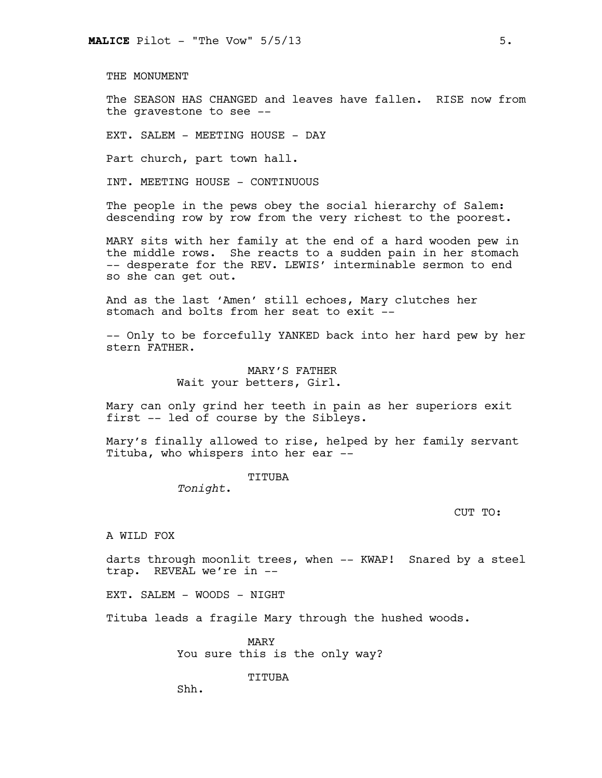THE MONUMENT

The SEASON HAS CHANGED and leaves have fallen. RISE now from the gravestone to see --

EXT. SALEM - MEETING HOUSE - DAY

Part church, part town hall.

INT. MEETING HOUSE - CONTINUOUS

The people in the pews obey the social hierarchy of Salem: descending row by row from the very richest to the poorest.

MARY sits with her family at the end of a hard wooden pew in the middle rows. She reacts to a sudden pain in her stomach -- desperate for the REV. LEWIS' interminable sermon to end so she can get out.

And as the last 'Amen' still echoes, Mary clutches her stomach and bolts from her seat to exit --

-- Only to be forcefully YANKED back into her hard pew by her stern FATHER.

> MARY'S FATHER Wait your betters, Girl.

Mary can only grind her teeth in pain as her superiors exit first -- led of course by the Sibleys.

Mary's finally allowed to rise, helped by her family servant Tituba, who whispers into her ear --

TITUBA

*Tonight*.

CUT TO:

A WILD FOX

darts through moonlit trees, when -- KWAP! Snared by a steel trap. REVEAL we're in --

EXT. SALEM - WOODS - NIGHT

Tituba leads a fragile Mary through the hushed woods.

MARY You sure this is the only way?

TITUBA

Shh.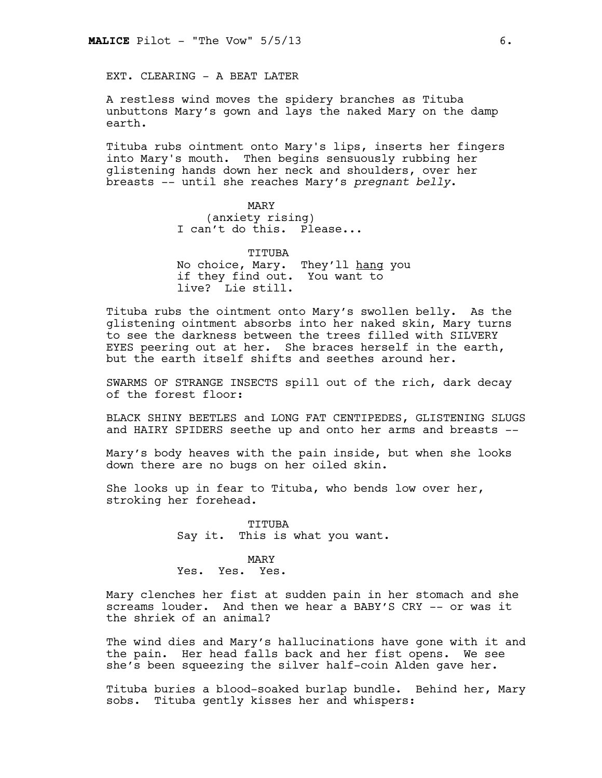EXT. CLEARING - A BEAT LATER

A restless wind moves the spidery branches as Tituba unbuttons Mary's gown and lays the naked Mary on the damp earth.

Tituba rubs ointment onto Mary's lips, inserts her fingers into Mary's mouth. Then begins sensuously rubbing her glistening hands down her neck and shoulders, over her breasts -- until she reaches Mary's *pregnant belly*.

> MARY (anxiety rising) I can't do this. Please...

TITUBA No choice, Mary. They'll hang you if they find out. You want to live? Lie still.

Tituba rubs the ointment onto Mary's swollen belly. As the glistening ointment absorbs into her naked skin, Mary turns to see the darkness between the trees filled with SILVERY EYES peering out at her. She braces herself in the earth, but the earth itself shifts and seethes around her.

SWARMS OF STRANGE INSECTS spill out of the rich, dark decay of the forest floor:

BLACK SHINY BEETLES and LONG FAT CENTIPEDES, GLISTENING SLUGS and HAIRY SPIDERS seethe up and onto her arms and breasts --

Mary's body heaves with the pain inside, but when she looks down there are no bugs on her oiled skin.

She looks up in fear to Tituba, who bends low over her, stroking her forehead.

> TITUBA Say it. This is what you want.

# MARY

Yes. Yes. Yes.

Mary clenches her fist at sudden pain in her stomach and she screams louder. And then we hear a BABY'S CRY -- or was it the shriek of an animal?

The wind dies and Mary's hallucinations have gone with it and the pain. Her head falls back and her fist opens. We see she's been squeezing the silver half-coin Alden gave her.

Tituba buries a blood-soaked burlap bundle. Behind her, Mary sobs. Tituba gently kisses her and whispers: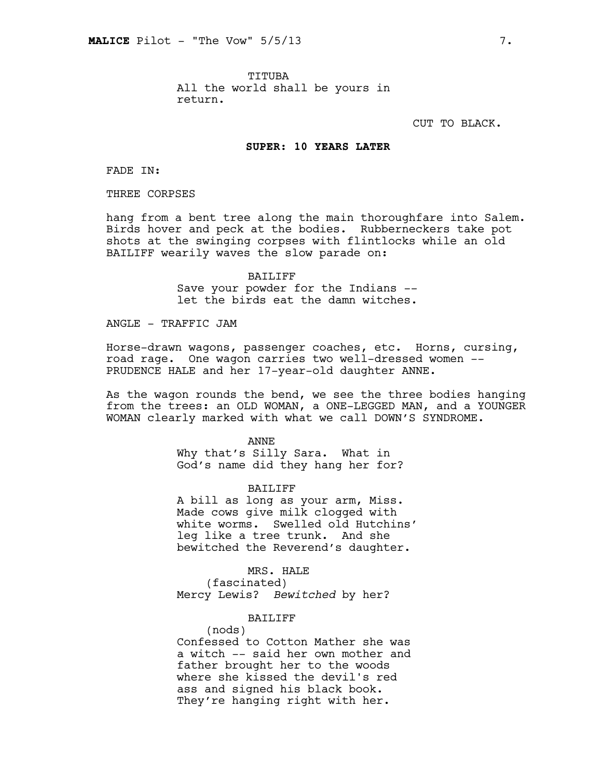TITUBA All the world shall be yours in return.

CUT TO BLACK.

## **SUPER: 10 YEARS LATER**

FADE IN:

THREE CORPSES

hang from a bent tree along the main thoroughfare into Salem. Birds hover and peck at the bodies. Rubberneckers take pot shots at the swinging corpses with flintlocks while an old BAILIFF wearily waves the slow parade on:

> BAILIFF Save your powder for the Indians - let the birds eat the damn witches.

ANGLE - TRAFFIC JAM

Horse-drawn wagons, passenger coaches, etc. Horns, cursing, road rage. One wagon carries two well-dressed women -- PRUDENCE HALE and her 17-year-old daughter ANNE.

As the wagon rounds the bend, we see the three bodies hanging from the trees: an OLD WOMAN, a ONE-LEGGED MAN, and a YOUNGER WOMAN clearly marked with what we call DOWN'S SYNDROME.

> ANNE Why that's Silly Sara. What in God's name did they hang her for?

> > BAILIFF

A bill as long as your arm, Miss. Made cows give milk clogged with white worms. Swelled old Hutchins' leg like a tree trunk. And she bewitched the Reverend's daughter.

MRS. HALE

(fascinated) Mercy Lewis? *Bewitched* by her?

BAILIFF

(nods) Confessed to Cotton Mather she was a witch -- said her own mother and father brought her to the woods where she kissed the devil's red ass and signed his black book. They're hanging right with her.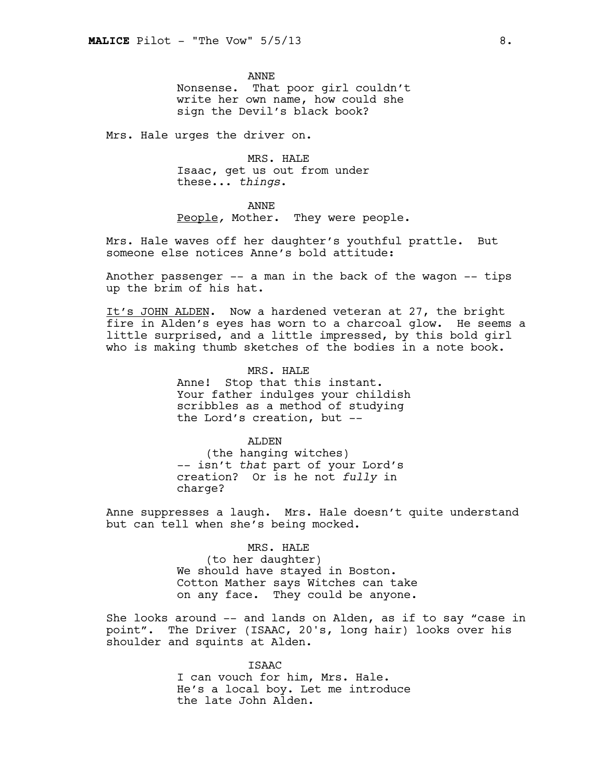ANNE Nonsense. That poor girl couldn't write her own name, how could she sign the Devil's black book?

Mrs. Hale urges the driver on.

MRS. HALE Isaac, get us out from under these... *things*.

ANNE

People*,* Mother. They were people.

Mrs. Hale waves off her daughter's youthful prattle. But someone else notices Anne's bold attitude:

Another passenger -- a man in the back of the wagon -- tips up the brim of his hat.

It's JOHN ALDEN. Now a hardened veteran at 27, the bright fire in Alden's eyes has worn to a charcoal glow. He seems a little surprised, and a little impressed, by this bold girl who is making thumb sketches of the bodies in a note book.

> MRS. HALE Anne! Stop that this instant. Your father indulges your childish scribbles as a method of studying the Lord's creation, but --

> > ALDEN

(the hanging witches) -- isn't *that* part of your Lord's creation? Or is he not *fully* in charge?

Anne suppresses a laugh. Mrs. Hale doesn't quite understand but can tell when she's being mocked.

#### MRS. HALE

(to her daughter) We should have stayed in Boston. Cotton Mather says Witches can take on any face. They could be anyone.

She looks around -- and lands on Alden, as if to say "case in point". The Driver (ISAAC, 20's, long hair) looks over his shoulder and squints at Alden.

> ISAAC I can vouch for him, Mrs. Hale. He's a local boy. Let me introduce the late John Alden.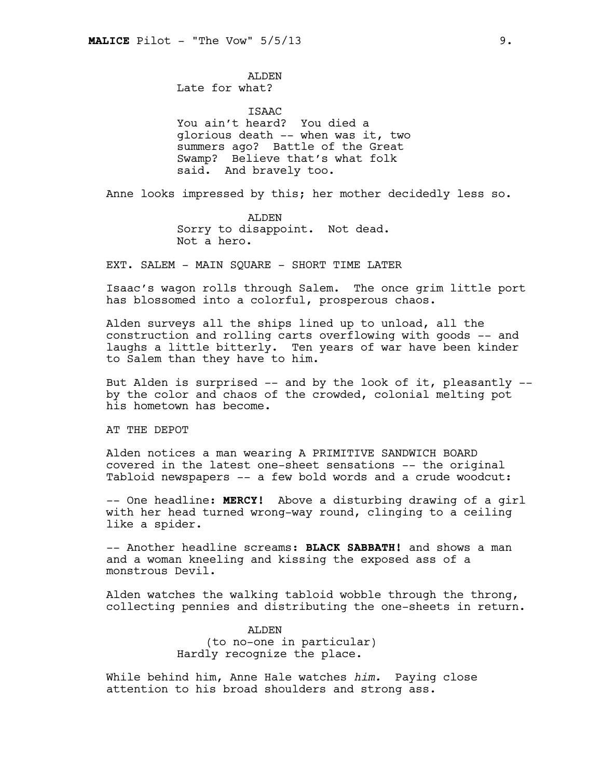ALDEN Late for what?

ISAAC You ain't heard? You died a glorious death -- when was it, two summers ago? Battle of the Great Swamp? Believe that's what folk said. And bravely too.

Anne looks impressed by this; her mother decidedly less so.

ALDEN Sorry to disappoint. Not dead. Not a hero.

EXT. SALEM - MAIN SQUARE - SHORT TIME LATER

Isaac's wagon rolls through Salem. The once grim little port has blossomed into a colorful, prosperous chaos.

Alden surveys all the ships lined up to unload, all the construction and rolling carts overflowing with goods -- and laughs a little bitterly. Ten years of war have been kinder to Salem than they have to him.

But Alden is surprised  $--$  and by the look of it, pleasantly  $-$ by the color and chaos of the crowded, colonial melting pot his hometown has become.

AT THE DEPOT

Alden notices a man wearing A PRIMITIVE SANDWICH BOARD covered in the latest one-sheet sensations -- the original Tabloid newspapers -- a few bold words and a crude woodcut:

-- One headline: **MERCY!** Above a disturbing drawing of a girl with her head turned wrong-way round, clinging to a ceiling like a spider.

-- Another headline screams: **BLACK SABBATH!** and shows a man and a woman kneeling and kissing the exposed ass of a monstrous Devil.

Alden watches the walking tabloid wobble through the throng, collecting pennies and distributing the one-sheets in return.

> ALDEN (to no-one in particular) Hardly recognize the place.

While behind him, Anne Hale watches *him.* Paying close attention to his broad shoulders and strong ass.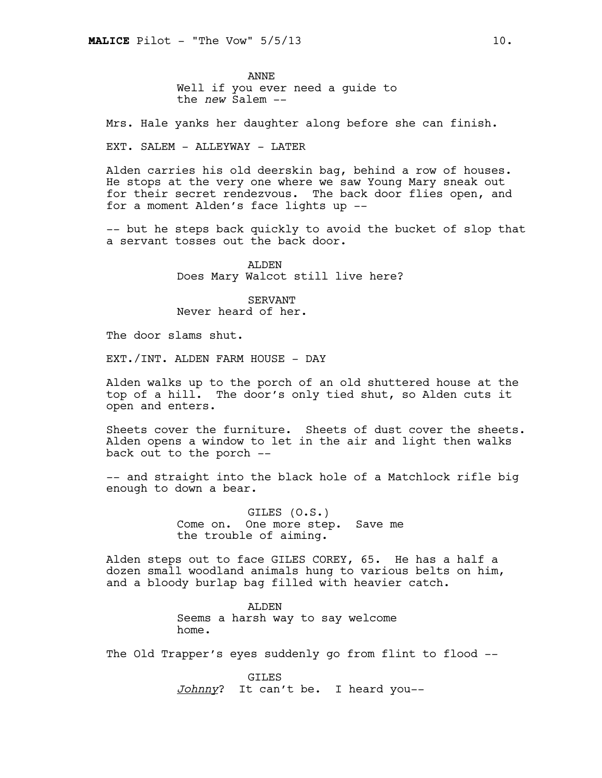ANNE Well if you ever need a guide to the *new* Salem --

Mrs. Hale yanks her daughter along before she can finish.

EXT. SALEM - ALLEYWAY - LATER

Alden carries his old deerskin bag, behind a row of houses. He stops at the very one where we saw Young Mary sneak out for their secret rendezvous. The back door flies open, and for a moment Alden's face lights up --

-- but he steps back quickly to avoid the bucket of slop that a servant tosses out the back door.

> ALDEN Does Mary Walcot still live here?

SERVANT Never heard of her.

The door slams shut.

EXT./INT. ALDEN FARM HOUSE - DAY

Alden walks up to the porch of an old shuttered house at the top of a hill. The door's only tied shut, so Alden cuts it open and enters.

Sheets cover the furniture. Sheets of dust cover the sheets. Alden opens a window to let in the air and light then walks back out to the porch --

-- and straight into the black hole of a Matchlock rifle big enough to down a bear.

> GILES (O.S.) Come on. One more step. Save me the trouble of aiming.

Alden steps out to face GILES COREY, 65. He has a half a dozen small woodland animals hung to various belts on him, and a bloody burlap bag filled with heavier catch.

> ALDEN Seems a harsh way to say welcome home.

The Old Trapper's eyes suddenly go from flint to flood --

**GTLES** *Johnny*? It can't be. I heard you--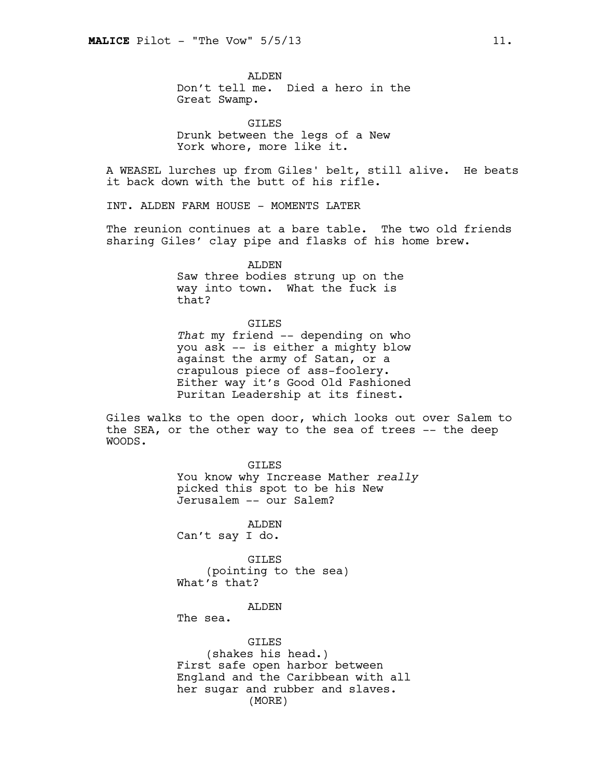ALDEN Don't tell me. Died a hero in the Great Swamp.

GILES Drunk between the legs of a New York whore, more like it.

A WEASEL lurches up from Giles' belt, still alive. He beats it back down with the butt of his rifle.

INT. ALDEN FARM HOUSE - MOMENTS LATER

The reunion continues at a bare table. The two old friends sharing Giles' clay pipe and flasks of his home brew.

> ALDEN Saw three bodies strung up on the way into town. What the fuck is that?

GILES *That* my friend -- depending on who you ask -- is either a mighty blow against the army of Satan, or a crapulous piece of ass-foolery. Either way it's Good Old Fashioned Puritan Leadership at its finest.

Giles walks to the open door, which looks out over Salem to the SEA, or the other way to the sea of trees -- the deep WOODS.

> GILES You know why Increase Mather *really* picked this spot to be his New Jerusalem -- our Salem?

ALDEN Can't say I do.

GILES (pointing to the sea) What's that?

## ALDEN

The sea.

GILES (shakes his head.) First safe open harbor between England and the Caribbean with all her sugar and rubber and slaves. (MORE)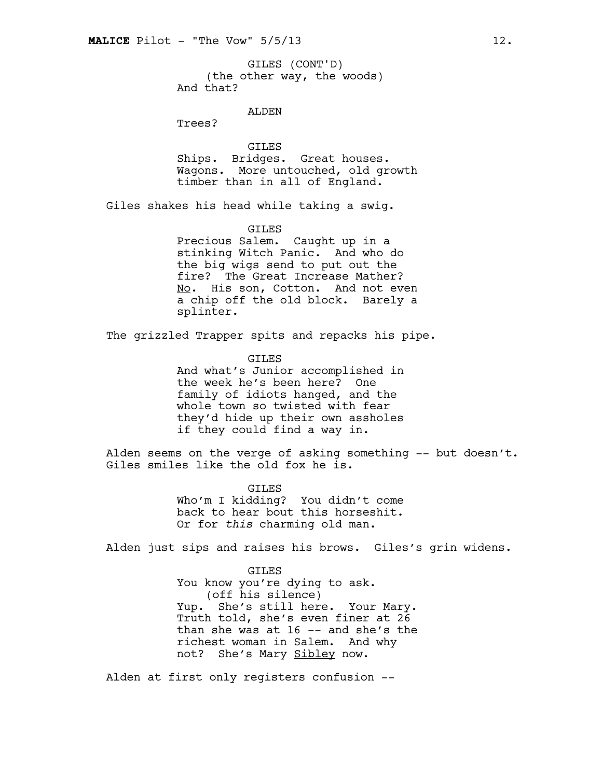(the other way, the woods) And that? GILES (CONT'D)

ALDEN

Trees?

GILES Ships. Bridges. Great houses. Wagons. More untouched, old growth timber than in all of England.

Giles shakes his head while taking a swig.

GILES

Precious Salem. Caught up in a stinking Witch Panic. And who do the big wigs send to put out the fire? The Great Increase Mather? No. His son, Cotton. And not even a chip off the old block. Barely a splinter.

The grizzled Trapper spits and repacks his pipe.

GILES And what's Junior accomplished in the week he's been here? One family of idiots hanged, and the whole town so twisted with fear they'd hide up their own assholes if they could find a way in.

Alden seems on the verge of asking something  $--$  but doesn't. Giles smiles like the old fox he is.

> GTLES Who'm I kidding? You didn't come back to hear bout this horseshit. Or for *this* charming old man.

Alden just sips and raises his brows. Giles's grin widens.

GILES You know you're dying to ask. (off his silence) Yup. She's still here. Your Mary. Truth told, she's even finer at 26 than she was at 16 -- and she's the richest woman in Salem. And why not? She's Mary Sibley now.

Alden at first only registers confusion --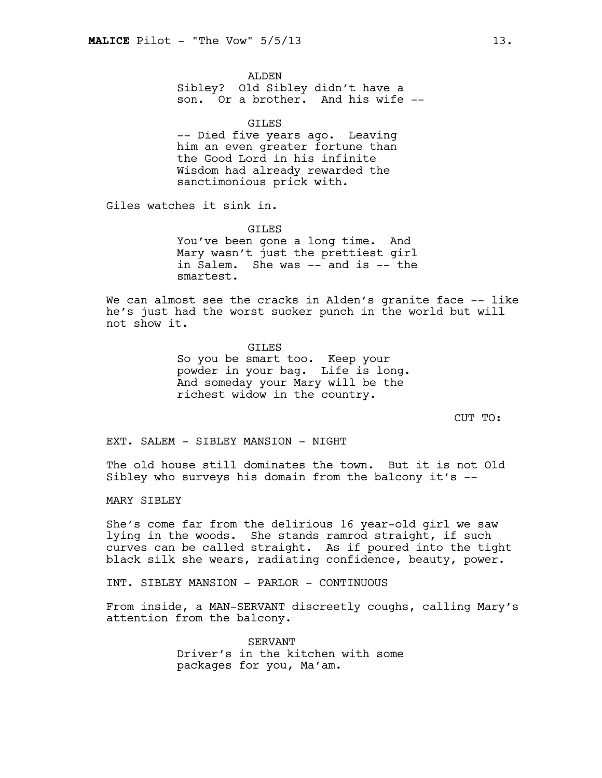ALDEN

Sibley? Old Sibley didn't have a son. Or a brother. And his wife --

**GILES** -- Died five years ago. Leaving him an even greater fortune than the Good Lord in his infinite Wisdom had already rewarded the sanctimonious prick with.

Giles watches it sink in.

**GTLES** 

You've been gone a long time. And Mary wasn't just the prettiest girl in Salem. She was -- and is -- the smartest.

We can almost see the cracks in Alden's granite face -- like he's just had the worst sucker punch in the world but will not show it.

# GILES So you be smart too. Keep your powder in your bag. Life is long. And someday your Mary will be the richest widow in the country.

CUT TO:

EXT. SALEM - SIBLEY MANSION - NIGHT

The old house still dominates the town. But it is not Old Sibley who surveys his domain from the balcony it's --

MARY SIBLEY

She's come far from the delirious 16 year-old girl we saw lying in the woods. She stands ramrod straight, if such curves can be called straight. As if poured into the tight black silk she wears, radiating confidence, beauty, power.

INT. SIBLEY MANSION - PARLOR - CONTINUOUS

From inside, a MAN-SERVANT discreetly coughs, calling Mary's attention from the balcony.

> SERVANT Driver's in the kitchen with some packages for you, Ma'am.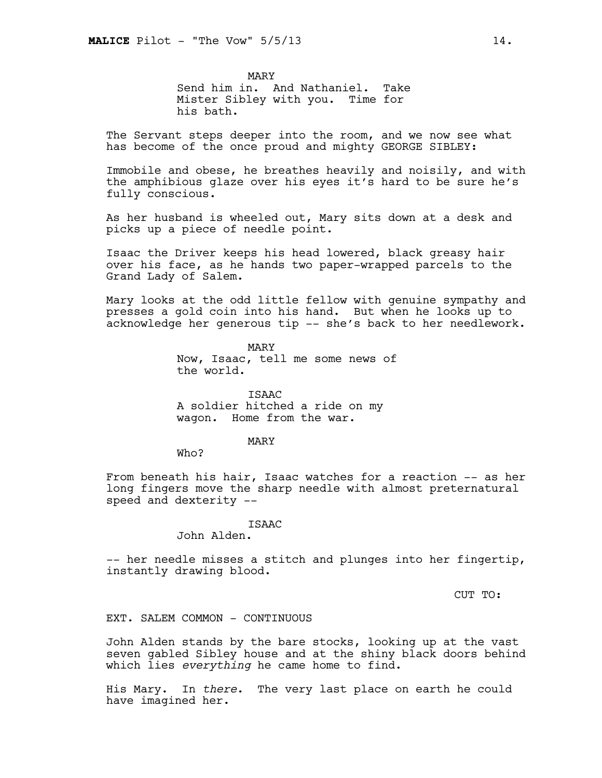MARY Send him in. And Nathaniel. Take Mister Sibley with you. Time for his bath.

The Servant steps deeper into the room, and we now see what has become of the once proud and mighty GEORGE SIBLEY:

Immobile and obese, he breathes heavily and noisily, and with the amphibious glaze over his eyes it's hard to be sure he's fully conscious.

As her husband is wheeled out, Mary sits down at a desk and picks up a piece of needle point.

Isaac the Driver keeps his head lowered, black greasy hair over his face, as he hands two paper-wrapped parcels to the Grand Lady of Salem.

Mary looks at the odd little fellow with genuine sympathy and presses a gold coin into his hand. But when he looks up to acknowledge her generous tip -- she's back to her needlework.

> MARY Now, Isaac, tell me some news of the world.

ISAAC A soldier hitched a ride on my wagon. Home from the war.

#### MARY

Who?

From beneath his hair, Isaac watches for a reaction -- as her long fingers move the sharp needle with almost preternatural speed and dexterity --

# ISAAC

John Alden.

-- her needle misses a stitch and plunges into her fingertip, instantly drawing blood.

CUT TO:

## EXT. SALEM COMMON - CONTINUOUS

John Alden stands by the bare stocks, looking up at the vast seven gabled Sibley house and at the shiny black doors behind which lies *everything* he came home to find.

His Mary. In *there*. The very last place on earth he could have imagined her.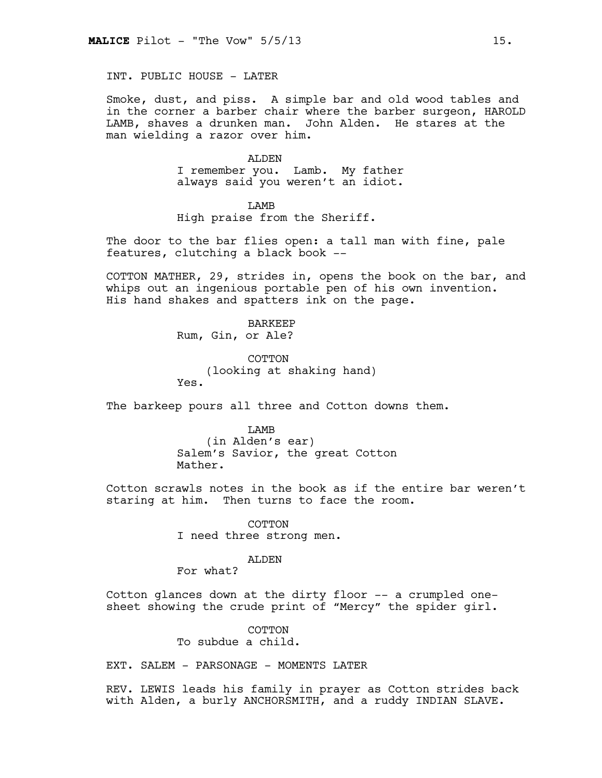INT. PUBLIC HOUSE - LATER

Smoke, dust, and piss. A simple bar and old wood tables and in the corner a barber chair where the barber surgeon, HAROLD LAMB, shaves a drunken man. John Alden. He stares at the man wielding a razor over him.

#### ALDEN

I remember you. Lamb. My father always said you weren't an idiot.

**T.AMB** 

High praise from the Sheriff.

The door to the bar flies open: a tall man with fine, pale features, clutching a black book --

COTTON MATHER, 29, strides in, opens the book on the bar, and whips out an ingenious portable pen of his own invention. His hand shakes and spatters ink on the page.

> BARKEEP Rum, Gin, or Ale?

**COTTON** (looking at shaking hand) Yes.

The barkeep pours all three and Cotton downs them.

LAMB (in Alden's ear) Salem's Savior, the great Cotton Mather.

Cotton scrawls notes in the book as if the entire bar weren't staring at him. Then turns to face the room.

> COTTON I need three strong men.

## ALDEN

For what?

Cotton glances down at the dirty floor -- a crumpled onesheet showing the crude print of "Mercy" the spider girl.

> COTTON To subdue a child.

EXT. SALEM - PARSONAGE - MOMENTS LATER

REV. LEWIS leads his family in prayer as Cotton strides back with Alden, a burly ANCHORSMITH, and a ruddy INDIAN SLAVE.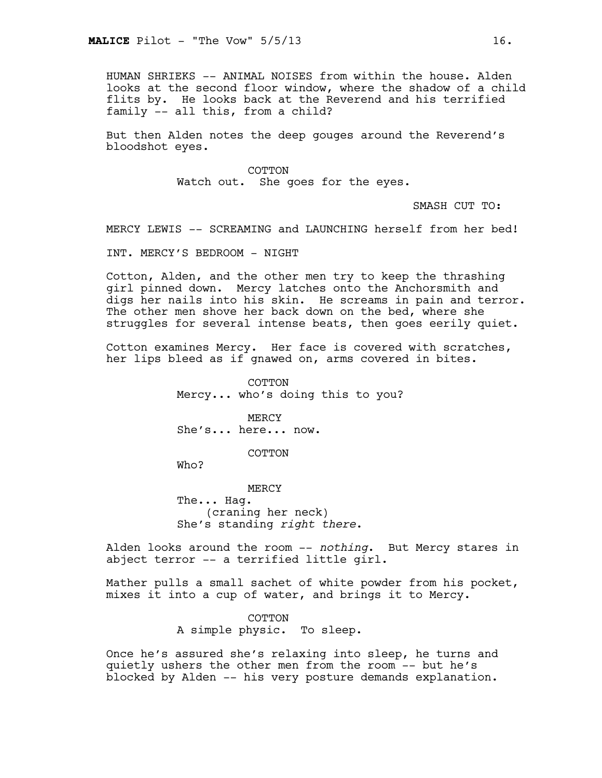HUMAN SHRIEKS -- ANIMAL NOISES from within the house. Alden looks at the second floor window, where the shadow of a child flits by. He looks back at the Reverend and his terrified family -- all this, from a child?

But then Alden notes the deep gouges around the Reverend's bloodshot eyes.

> COTTON Watch out. She goes for the eyes.

> > SMASH CUT TO:

MERCY LEWIS -- SCREAMING and LAUNCHING herself from her bed!

INT. MERCY'S BEDROOM - NIGHT

Cotton, Alden, and the other men try to keep the thrashing girl pinned down. Mercy latches onto the Anchorsmith and digs her nails into his skin. He screams in pain and terror. The other men shove her back down on the bed, where she struggles for several intense beats, then goes eerily quiet.

Cotton examines Mercy. Her face is covered with scratches, her lips bleed as if gnawed on, arms covered in bites.

> COTTON Mercy... who's doing this to you?

MERCY She's... here... now.

COTTON

Who?

MERCY The... Hag. (craning her neck) She's standing *right there*.

Alden looks around the room -- *nothing*. But Mercy stares in abject terror -- a terrified little girl.

Mather pulls a small sachet of white powder from his pocket, mixes it into a cup of water, and brings it to Mercy.

> COTTON A simple physic. To sleep.

Once he's assured she's relaxing into sleep, he turns and quietly ushers the other men from the room -- but he's blocked by Alden -- his very posture demands explanation.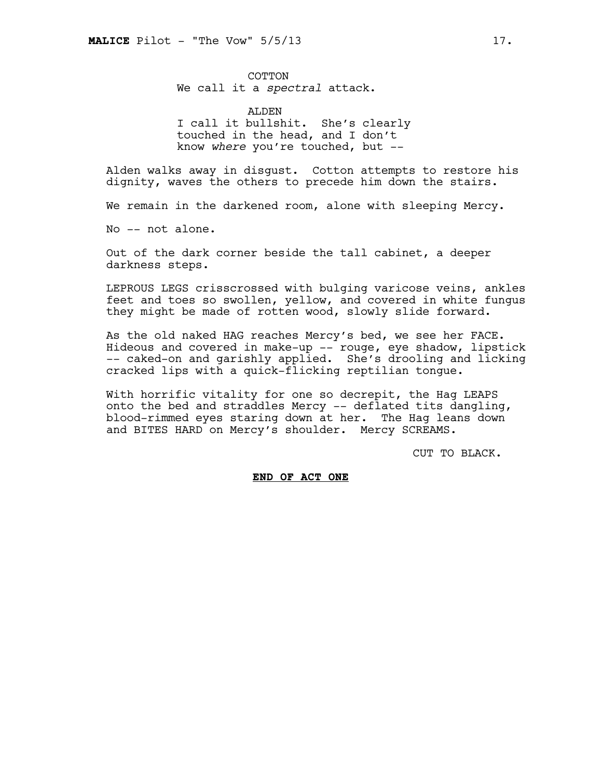COTTON We call it a *spectral* attack.

ALDEN I call it bullshit. She's clearly touched in the head, and I don't know *where* you're touched, but --

Alden walks away in disgust. Cotton attempts to restore his dignity, waves the others to precede him down the stairs.

We remain in the darkened room, alone with sleeping Mercy.

No -- not alone.

Out of the dark corner beside the tall cabinet, a deeper darkness steps.

LEPROUS LEGS crisscrossed with bulging varicose veins, ankles feet and toes so swollen, yellow, and covered in white fungus they might be made of rotten wood, slowly slide forward.

As the old naked HAG reaches Mercy's bed, we see her FACE. Hideous and covered in make-up -- rouge, eye shadow, lipstick -- caked-on and garishly applied. She's drooling and licking cracked lips with a quick-flicking reptilian tongue.

With horrific vitality for one so decrepit, the Hag LEAPS onto the bed and straddles Mercy -- deflated tits dangling, blood-rimmed eyes staring down at her. The Hag leans down and BITES HARD on Mercy's shoulder. Mercy SCREAMS.

CUT TO BLACK.

# **END OF ACT ONE**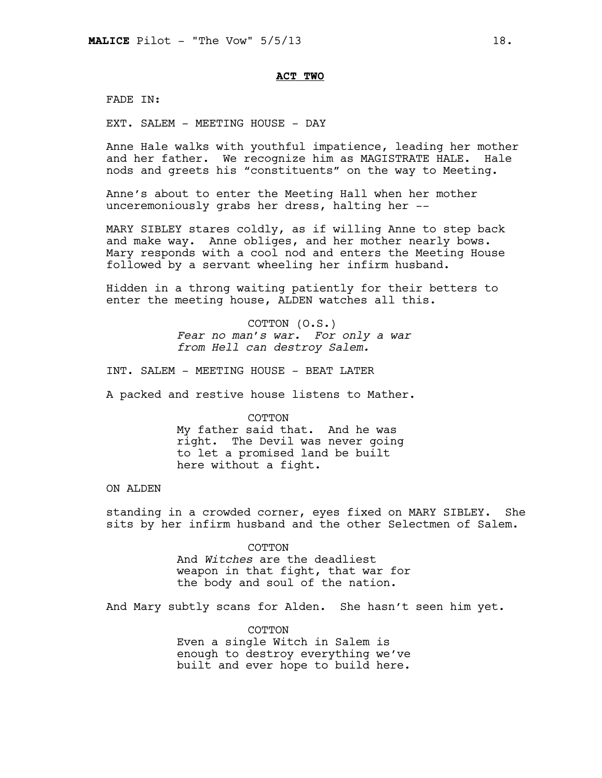## **ACT TWO**

FADE IN:

EXT. SALEM - MEETING HOUSE - DAY

Anne Hale walks with youthful impatience, leading her mother and her father. We recognize him as MAGISTRATE HALE. Hale nods and greets his "constituents" on the way to Meeting.

Anne's about to enter the Meeting Hall when her mother unceremoniously grabs her dress, halting her --

MARY SIBLEY stares coldly, as if willing Anne to step back and make way. Anne obliges, and her mother nearly bows. Mary responds with a cool nod and enters the Meeting House followed by a servant wheeling her infirm husband.

Hidden in a throng waiting patiently for their betters to enter the meeting house, ALDEN watches all this.

> COTTON (O.S.) *Fear no man's war. For only a war from Hell can destroy Salem.*

INT. SALEM - MEETING HOUSE - BEAT LATER

A packed and restive house listens to Mather.

COTTON

My father said that. And he was right. The Devil was never going to let a promised land be built here without a fight.

# ON ALDEN

standing in a crowded corner, eyes fixed on MARY SIBLEY. She sits by her infirm husband and the other Selectmen of Salem.

> COTTON And *Witches* are the deadliest weapon in that fight, that war for the body and soul of the nation.

And Mary subtly scans for Alden. She hasn't seen him yet.

COTTON Even a single Witch in Salem is enough to destroy everything we've built and ever hope to build here.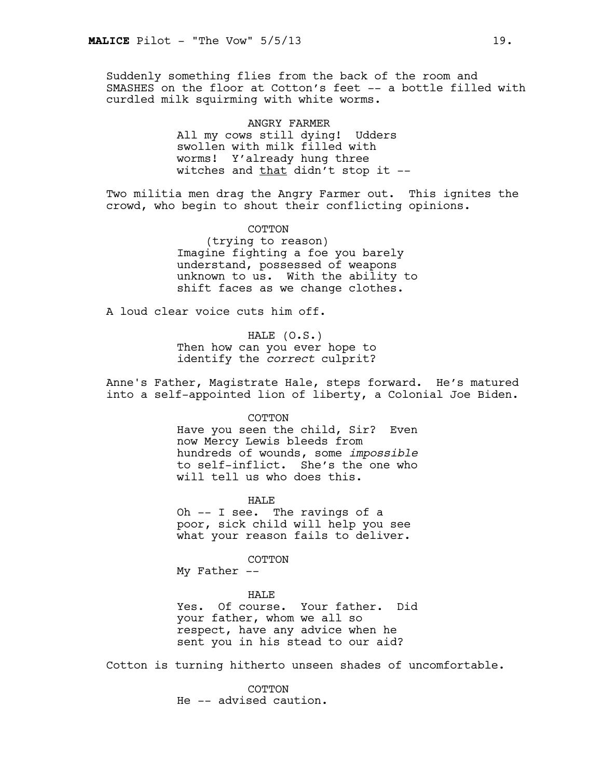Suddenly something flies from the back of the room and SMASHES on the floor at Cotton's feet -- a bottle filled with curdled milk squirming with white worms.

> ANGRY FARMER All my cows still dying! Udders swollen with milk filled with worms! Y'already hung three witches and that didn't stop it --

Two militia men drag the Angry Farmer out. This ignites the crowd, who begin to shout their conflicting opinions.

> COTTON (trying to reason) Imagine fighting a foe you barely understand, possessed of weapons unknown to us. With the ability to shift faces as we change clothes.

A loud clear voice cuts him off.

HALE (O.S.) Then how can you ever hope to identify the *correct* culprit?

Anne's Father, Magistrate Hale, steps forward. He's matured into a self-appointed lion of liberty, a Colonial Joe Biden.

COTTON

Have you seen the child, Sir? Even now Mercy Lewis bleeds from hundreds of wounds, some *impossible* to self-inflict. She's the one who will tell us who does this.

HALE

Oh -- I see. The ravings of a poor, sick child will help you see what your reason fails to deliver.

COTTON

My Father --

HAL<sub>E</sub>

Yes. Of course. Your father. Did your father, whom we all so respect, have any advice when he sent you in his stead to our aid?

Cotton is turning hitherto unseen shades of uncomfortable.

COTTON He -- advised caution.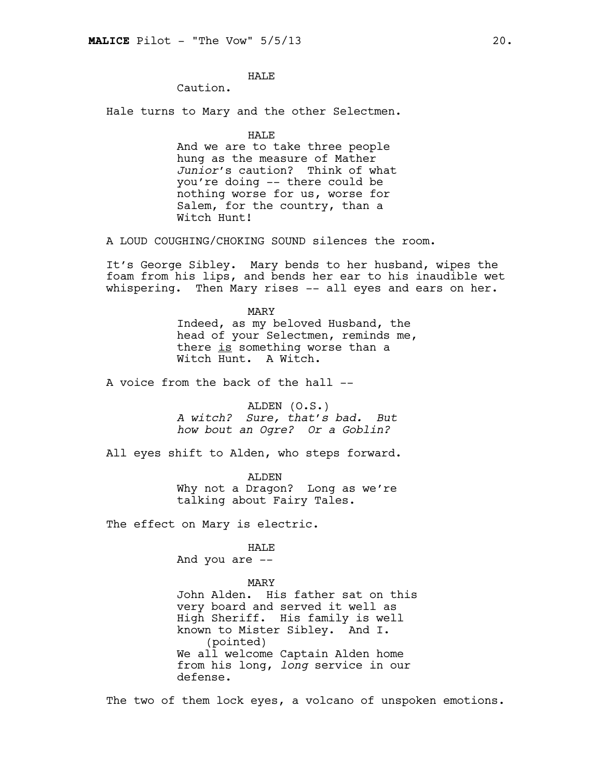# HAL<sub>E</sub>

Caution.

Hale turns to Mary and the other Selectmen.

HALE

And we are to take three people hung as the measure of Mather *Junior*'s caution? Think of what you're doing -- there could be nothing worse for us, worse for Salem, for the country, than a Witch Hunt!

A LOUD COUGHING/CHOKING SOUND silences the room.

It's George Sibley. Mary bends to her husband, wipes the foam from his lips, and bends her ear to his inaudible wet whispering. Then Mary rises -- all eyes and ears on her.

> MARY Indeed, as my beloved Husband, the head of your Selectmen, reminds me, there is something worse than a Witch Hunt. A Witch.

A voice from the back of the hall --

ALDEN (O.S.) *A witch? Sure, that's bad. But how bout an Ogre? Or a Goblin?* 

All eyes shift to Alden, who steps forward.

ALDEN Why not a Dragon? Long as we're talking about Fairy Tales.

The effect on Mary is electric.

HALE

And you are --

#### MARY

John Alden. His father sat on this very board and served it well as High Sheriff. His family is well known to Mister Sibley. And I. (pointed) We all welcome Captain Alden home from his long, *long* service in our defense.

The two of them lock eyes, a volcano of unspoken emotions.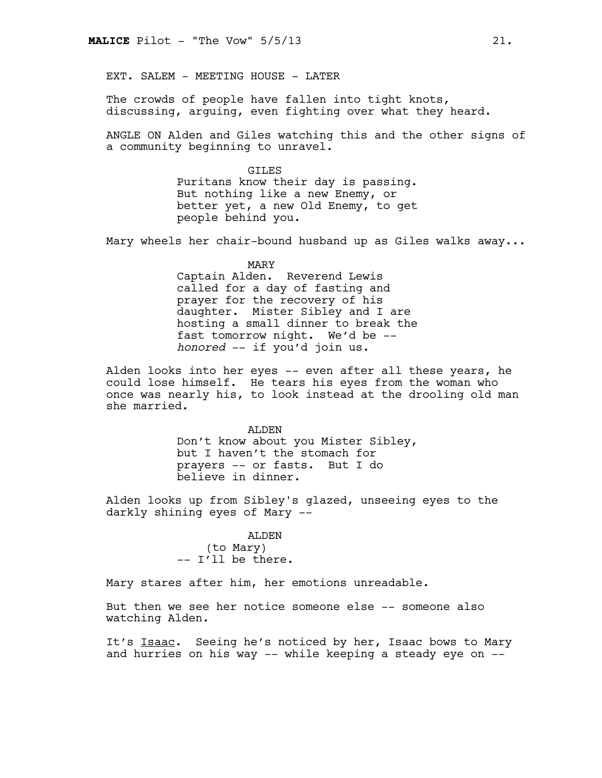EXT. SALEM - MEETING HOUSE - LATER

The crowds of people have fallen into tight knots, discussing, arguing, even fighting over what they heard.

ANGLE ON Alden and Giles watching this and the other signs of a community beginning to unravel.

> GILES Puritans know their day is passing. But nothing like a new Enemy, or better yet, a new Old Enemy, to get people behind you.

Mary wheels her chair-bound husband up as Giles walks away...

MARY

Captain Alden. Reverend Lewis called for a day of fasting and prayer for the recovery of his daughter. Mister Sibley and I are hosting a small dinner to break the fast tomorrow night. We'd be - *honored* -- if you'd join us.

Alden looks into her eyes -- even after all these years, he could lose himself. He tears his eyes from the woman who once was nearly his, to look instead at the drooling old man she married.

> ALDEN Don't know about you Mister Sibley, but I haven't the stomach for prayers -- or fasts. But I do believe in dinner.

Alden looks up from Sibley's glazed, unseeing eyes to the darkly shining eyes of Mary --

#### ALDEN

(to Mary) -- I'll be there.

Mary stares after him, her emotions unreadable.

But then we see her notice someone else -- someone also watching Alden.

It's Isaac. Seeing he's noticed by her, Isaac bows to Mary and hurries on his way -- while keeping a steady eye on --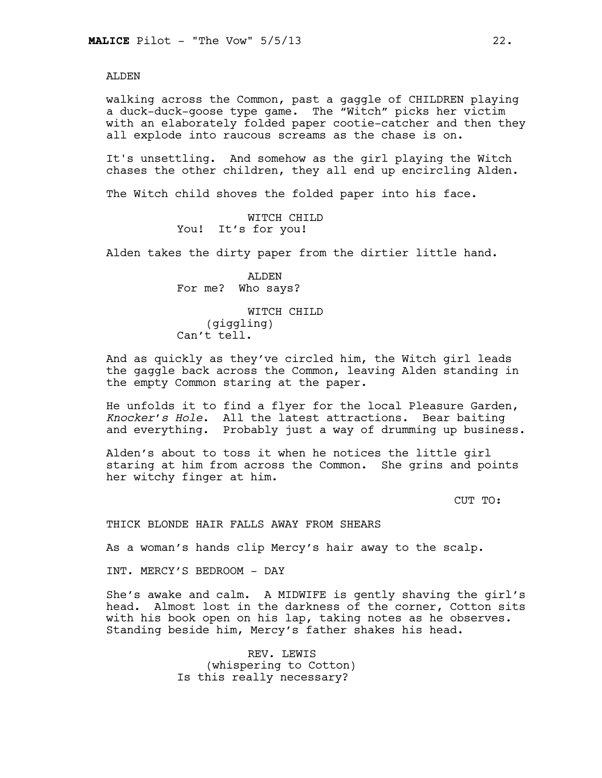ALDEN

walking across the Common, past a gaggle of CHILDREN playing a duck-duck-goose type game. The "Witch" picks her victim with an elaborately folded paper cootie-catcher and then they all explode into raucous screams as the chase is on.

It's unsettling. And somehow as the girl playing the Witch chases the other children, they all end up encircling Alden.

The Witch child shoves the folded paper into his face.

WITCH CHILD You! It's for you!

Alden takes the dirty paper from the dirtier little hand.

ALDEN For me? Who says?

WITCH CHILD (giggling) Can't tell.

And as quickly as they've circled him, the Witch girl leads the gaggle back across the Common, leaving Alden standing in the empty Common staring at the paper.

He unfolds it to find a flyer for the local Pleasure Garden, *Knocker's Hole*. All the latest attractions. Bear baiting and everything. Probably just a way of drumming up business.

Alden's about to toss it when he notices the little girl staring at him from across the Common. She grins and points her witchy finger at him.

CUT TO:

THICK BLONDE HAIR FALLS AWAY FROM SHEARS

As a woman's hands clip Mercy's hair away to the scalp.

INT. MERCY'S BEDROOM - DAY

She's awake and calm. A MIDWIFE is gently shaving the girl's head. Almost lost in the darkness of the corner, Cotton sits with his book open on his lap, taking notes as he observes. Standing beside him, Mercy's father shakes his head.

> REV. LEWIS (whispering to Cotton) Is this really necessary?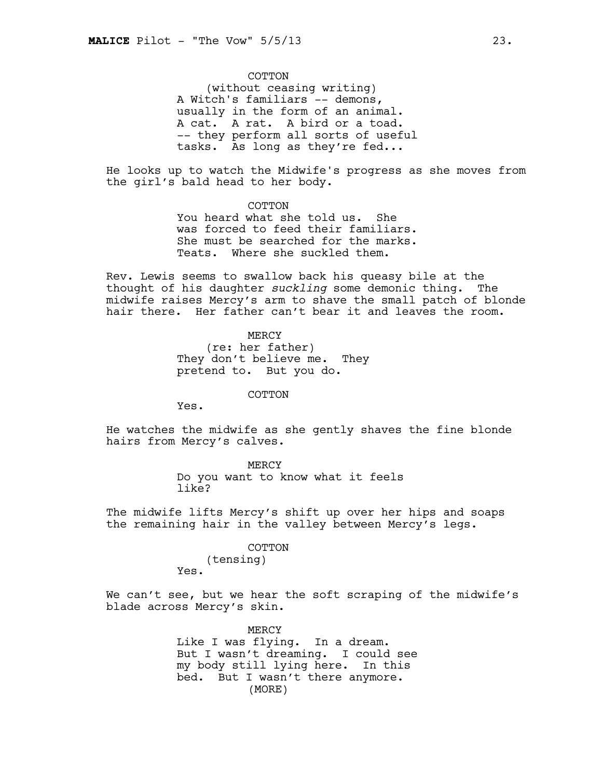COTTON (without ceasing writing) A Witch's familiars -- demons, usually in the form of an animal. A cat. A rat. A bird or a toad. -- they perform all sorts of useful tasks. As long as they're fed...

He looks up to watch the Midwife's progress as she moves from the girl's bald head to her body.

> COTTON You heard what she told us. She was forced to feed their familiars. She must be searched for the marks. Teats. Where she suckled them.

Rev. Lewis seems to swallow back his queasy bile at the thought of his daughter *suckling* some demonic thing. The midwife raises Mercy's arm to shave the small patch of blonde hair there. Her father can't bear it and leaves the room.

> MERCY (re: her father) They don't believe me. They pretend to. But you do.

> > COTTON

Yes.

He watches the midwife as she gently shaves the fine blonde hairs from Mercy's calves.

> MERCY Do you want to know what it feels like?

The midwife lifts Mercy's shift up over her hips and soaps the remaining hair in the valley between Mercy's legs.

#### COTTON

(tensing) Yes.

We can't see, but we hear the soft scraping of the midwife's blade across Mercy's skin.

> MERCY Like I was flying. In a dream. But I wasn't dreaming. I could see my body still lying here. In this bed. But I wasn't there anymore. (MORE)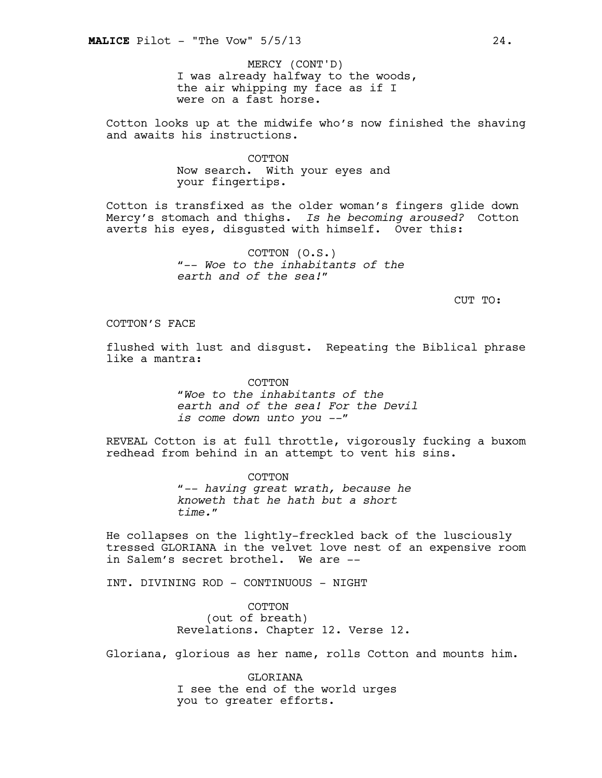I was already halfway to the woods, the air whipping my face as if I were on a fast horse. MERCY (CONT'D)

Cotton looks up at the midwife who's now finished the shaving and awaits his instructions.

> **COTTON** Now search. With your eyes and your fingertips.

Cotton is transfixed as the older woman's fingers glide down Mercy's stomach and thighs. *Is he becoming aroused?* Cotton averts his eyes, disgusted with himself. Over this:

> COTTON (O.S.) "-- *Woe to the inhabitants of the earth and of the sea!*"

> > CUT TO:

# COTTON'S FACE

flushed with lust and disgust. Repeating the Biblical phrase like a mantra:

> COTTON "*Woe to the inhabitants of the earth and of the sea! For the Devil is come down unto you --"*

REVEAL Cotton is at full throttle, vigorously fucking a buxom redhead from behind in an attempt to vent his sins.

> COTTON "*-- having great wrath, because he knoweth that he hath but a short time.*"

He collapses on the lightly-freckled back of the lusciously tressed GLORIANA in the velvet love nest of an expensive room in Salem's secret brothel. We are --

INT. DIVINING ROD - CONTINUOUS - NIGHT

COTTON (out of breath) Revelations. Chapter 12. Verse 12.

Gloriana, glorious as her name, rolls Cotton and mounts him.

GLORIANA I see the end of the world urges you to greater efforts.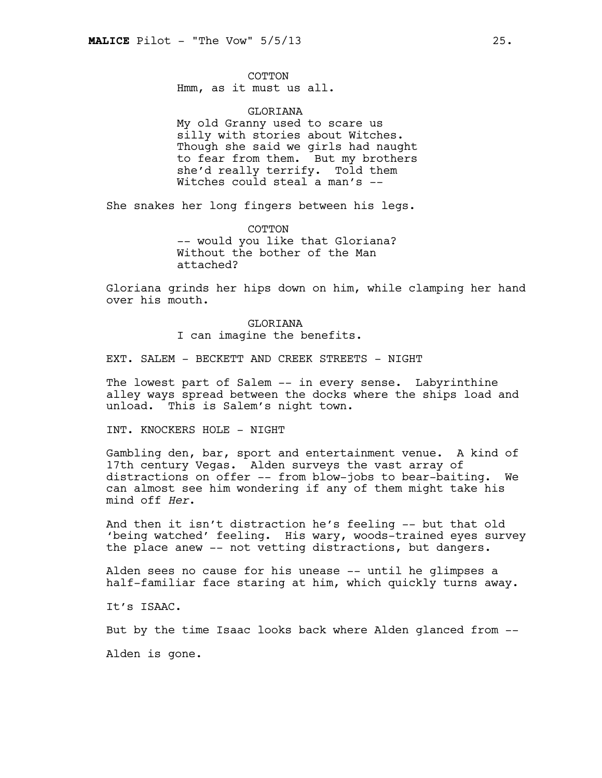COTTON Hmm, as it must us all.

GLORIANA My old Granny used to scare us silly with stories about Witches. Though she said we girls had naught to fear from them. But my brothers she'd really terrify. Told them Witches could steal a man's --

She snakes her long fingers between his legs.

COTTON -- would you like that Gloriana? Without the bother of the Man attached?

Gloriana grinds her hips down on him, while clamping her hand over his mouth.

> GLORIANA I can imagine the benefits.

EXT. SALEM - BECKETT AND CREEK STREETS - NIGHT

The lowest part of Salem -- in every sense. Labyrinthine alley ways spread between the docks where the ships load and unload. This is Salem's night town.

INT. KNOCKERS HOLE - NIGHT

Gambling den, bar, sport and entertainment venue. A kind of 17th century Vegas. Alden surveys the vast array of distractions on offer -- from blow-jobs to bear-baiting. We can almost see him wondering if any of them might take his mind off *Her*.

And then it isn't distraction he's feeling -- but that old 'being watched' feeling. His wary, woods-trained eyes survey the place anew -- not vetting distractions, but dangers.

Alden sees no cause for his unease -- until he glimpses a half-familiar face staring at him, which quickly turns away.

It's ISAAC.

But by the time Isaac looks back where Alden glanced from --

Alden is gone.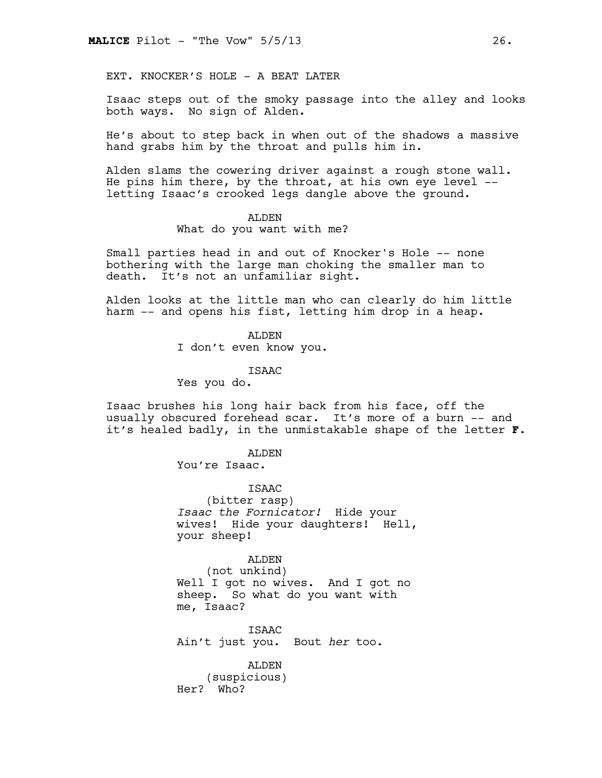EXT. KNOCKER'S HOLE - A BEAT LATER

Isaac steps out of the smoky passage into the alley and looks both ways. No sign of Alden.

He's about to step back in when out of the shadows a massive hand grabs him by the throat and pulls him in.

Alden slams the cowering driver against a rough stone wall. He pins him there, by the throat, at his own eye level - letting Isaac's crooked legs dangle above the ground.

#### ALDEN

What do you want with me?

Small parties head in and out of Knocker's Hole -- none bothering with the large man choking the smaller man to death. It's not an unfamiliar sight.

Alden looks at the little man who can clearly do him little harm -- and opens his fist, letting him drop in a heap.

> ALDEN I don't even know you.

> > ISAAC

Yes you do.

Isaac brushes his long hair back from his face, off the usually obscured forehead scar. It's more of a burn -- and it's healed badly, in the unmistakable shape of the letter **F**.

> ALDEN You're Isaac.

> > **TSAAC**

(bitter rasp) *Isaac the Fornicator!* Hide your wives! Hide your daughters! Hell, your sheep!

# ALDEN

(not unkind) Well I got no wives. And I got no sheep. So what do you want with me, Isaac?

ISAAC Ain't just you. Bout *her* too.

ALDEN (suspicious) Her? Who?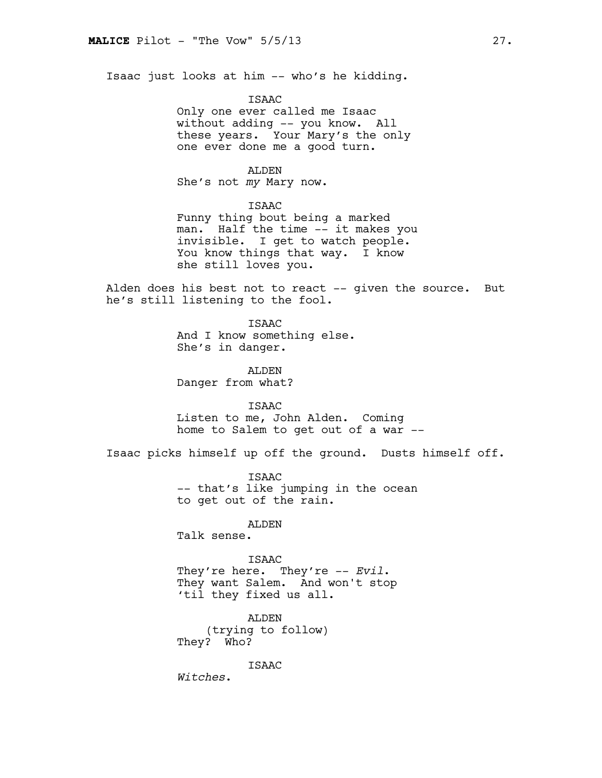Isaac just looks at him -- who's he kidding.

#### ISAAC

Only one ever called me Isaac without adding -- you know. All these years. Your Mary's the only one ever done me a good turn.

# ALDEN

She's not *my* Mary now.

# ISAAC

Funny thing bout being a marked man. Half the time -- it makes you invisible. I get to watch people. You know things that way. I know she still loves you.

Alden does his best not to react -- given the source. But he's still listening to the fool.

> ISAAC And I know something else. She's in danger.

ALDEN Danger from what?

ISAAC Listen to me, John Alden. Coming home to Salem to get out of a war --

Isaac picks himself up off the ground. Dusts himself off.

ISAAC -- that's like jumping in the ocean to get out of the rain.

# ALDEN

Talk sense.

#### ISAAC

They're here. They're -- *Evil*. They want Salem. And won't stop 'til they fixed us all.

ALDEN (trying to follow) They? Who?

ISAAC

*Witches*.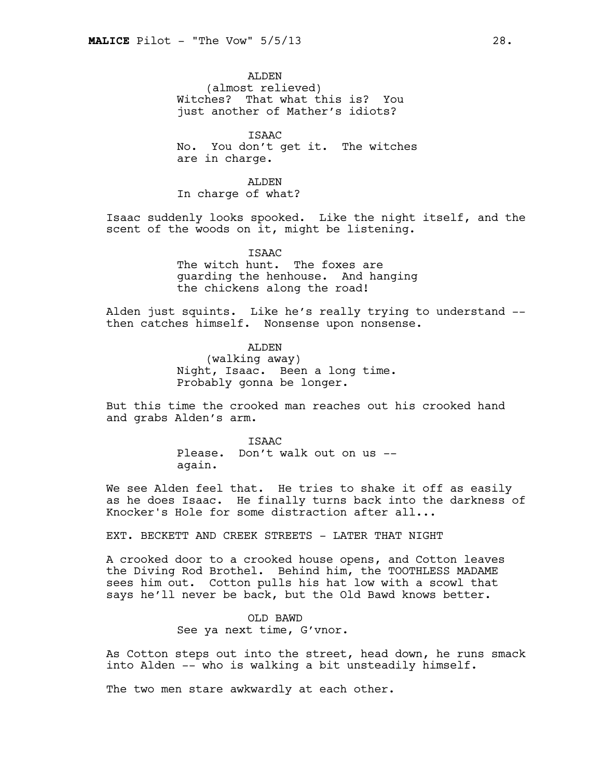ALDEN (almost relieved) Witches? That what this is? You just another of Mather's idiots?

ISAAC No. You don't get it. The witches are in charge.

ALDEN In charge of what?

Isaac suddenly looks spooked. Like the night itself, and the scent of the woods on it, might be listening.

> ISAAC The witch hunt. The foxes are guarding the henhouse. And hanging the chickens along the road!

Alden just squints. Like he's really trying to understand - then catches himself. Nonsense upon nonsense.

> ALDEN (walking away) Night, Isaac. Been a long time. Probably gonna be longer.

But this time the crooked man reaches out his crooked hand and grabs Alden's arm.

> **TSAAC** Please. Don't walk out on us - again.

We see Alden feel that. He tries to shake it off as easily as he does Isaac. He finally turns back into the darkness of Knocker's Hole for some distraction after all...

EXT. BECKETT AND CREEK STREETS - LATER THAT NIGHT

A crooked door to a crooked house opens, and Cotton leaves the Diving Rod Brothel. Behind him, the TOOTHLESS MADAME sees him out. Cotton pulls his hat low with a scowl that says he'll never be back, but the Old Bawd knows better.

> OLD BAWD See ya next time, G'vnor.

As Cotton steps out into the street, head down, he runs smack into Alden -- who is walking a bit unsteadily himself.

The two men stare awkwardly at each other.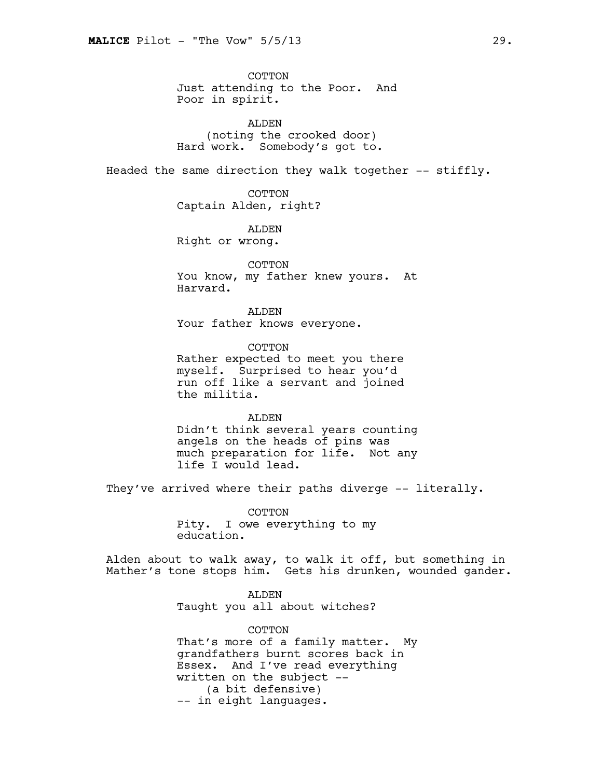COTTON Just attending to the Poor. And Poor in spirit.

ALDEN (noting the crooked door) Hard work. Somebody's got to.

Headed the same direction they walk together -- stiffly.

COTTON Captain Alden, right?

ALDEN Right or wrong.

COTTON You know, my father knew yours. At Harvard.

ALDEN Your father knows everyone.

COTTON Rather expected to meet you there myself. Surprised to hear you'd run off like a servant and joined the militia.

ALDEN Didn't think several years counting angels on the heads of pins was much preparation for life. Not any life I would lead.

They've arrived where their paths diverge -- literally.

COTTON Pity. I owe everything to my education.

Alden about to walk away, to walk it off, but something in Mather's tone stops him. Gets his drunken, wounded gander.

> ALDEN Taught you all about witches?

COTTON That's more of a family matter. My grandfathers burnt scores back in Essex. And I've read everything written on the subject -- (a bit defensive) -- in eight languages.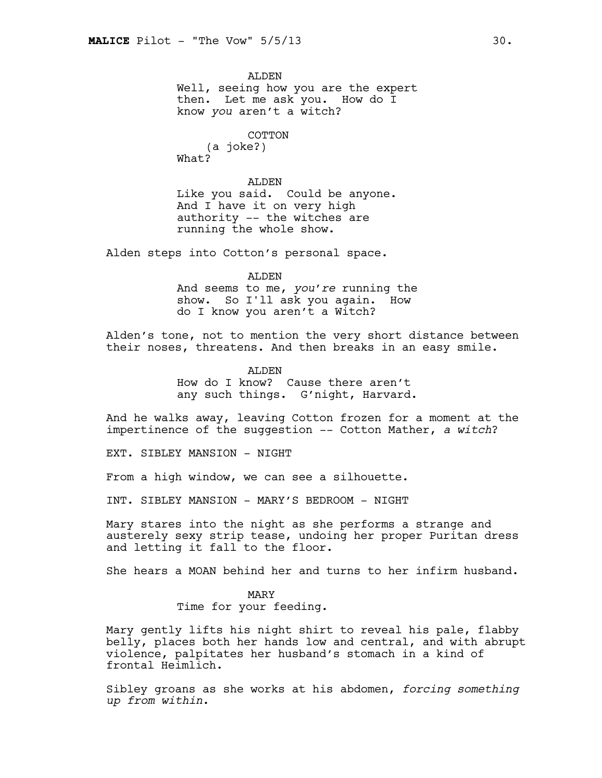ALDEN Well, seeing how you are the expert then. Let me ask you. How do I know *you* aren't a witch?

> COTTON (a joke?)

What?

ALDEN Like you said. Could be anyone. And I have it on very high authority -- the witches are running the whole show.

Alden steps into Cotton's personal space.

#### ALDEN

And seems to me, *you're* running the show. So I'll ask you again. How do I know you aren't a Witch?

Alden's tone, not to mention the very short distance between their noses, threatens. And then breaks in an easy smile.

ALDEN

How do I know? Cause there aren't any such things. G'night, Harvard.

And he walks away, leaving Cotton frozen for a moment at the impertinence of the suggestion -- Cotton Mather, *a witch*?

EXT. SIBLEY MANSION - NIGHT

From a high window, we can see a silhouette.

INT. SIBLEY MANSION - MARY'S BEDROOM - NIGHT

Mary stares into the night as she performs a strange and austerely sexy strip tease, undoing her proper Puritan dress and letting it fall to the floor.

She hears a MOAN behind her and turns to her infirm husband.

## MARY

Time for your feeding.

Mary gently lifts his night shirt to reveal his pale, flabby belly, places both her hands low and central, and with abrupt violence, palpitates her husband's stomach in a kind of frontal Heimlich.

Sibley groans as she works at his abdomen, *forcing something up from within*.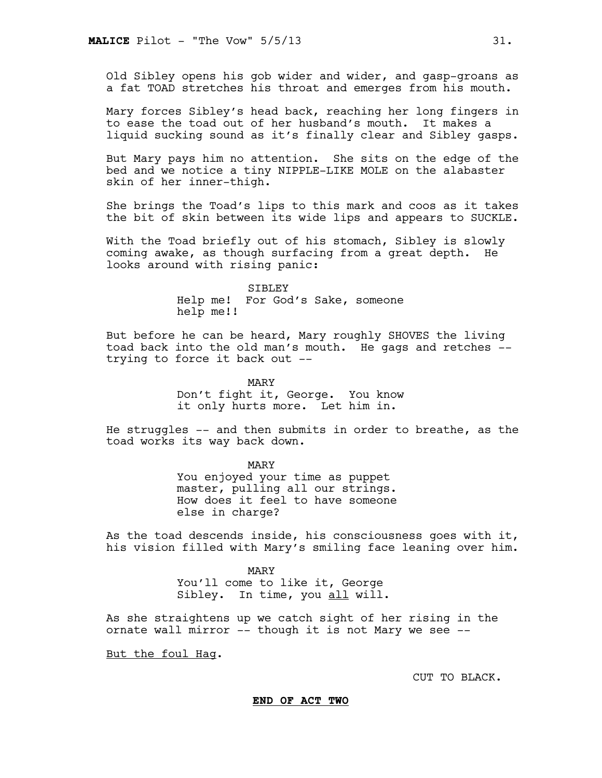Old Sibley opens his gob wider and wider, and gasp-groans as a fat TOAD stretches his throat and emerges from his mouth.

Mary forces Sibley's head back, reaching her long fingers in to ease the toad out of her husband's mouth. It makes a liquid sucking sound as it's finally clear and Sibley gasps.

But Mary pays him no attention. She sits on the edge of the bed and we notice a tiny NIPPLE-LIKE MOLE on the alabaster skin of her inner-thigh.

She brings the Toad's lips to this mark and coos as it takes the bit of skin between its wide lips and appears to SUCKLE.

With the Toad briefly out of his stomach, Sibley is slowly coming awake, as though surfacing from a great depth. He looks around with rising panic:

> SIBLEY Help me! For God's Sake, someone help me!!

But before he can be heard, Mary roughly SHOVES the living toad back into the old man's mouth. He gags and retches - trying to force it back out --

> MARY Don't fight it, George. You know it only hurts more. Let him in.

He struggles -- and then submits in order to breathe, as the toad works its way back down.

> MARY You enjoyed your time as puppet master, pulling all our strings. How does it feel to have someone else in charge?

As the toad descends inside, his consciousness goes with it, his vision filled with Mary's smiling face leaning over him.

> MARY You'll come to like it, George Sibley. In time, you all will.

As she straightens up we catch sight of her rising in the ornate wall mirror -- though it is not Mary we see --

But the foul Hag.

CUT TO BLACK.

**END OF ACT TWO**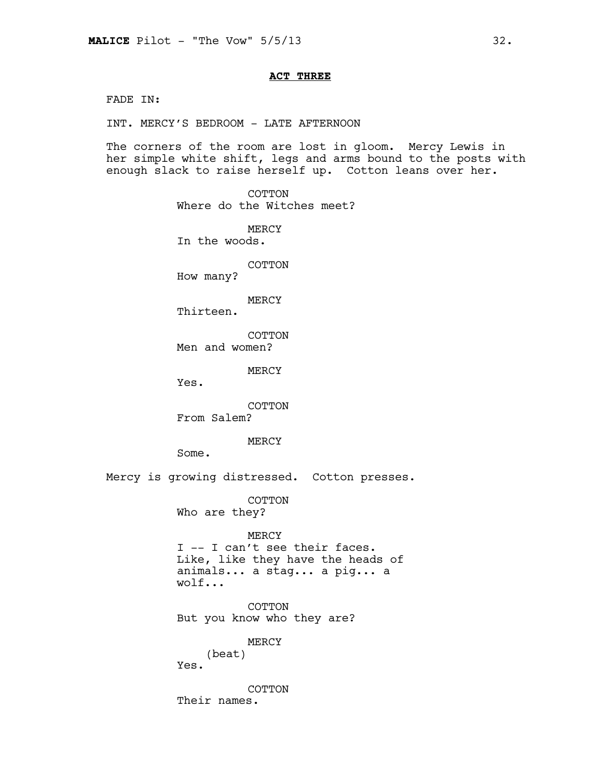## **ACT THREE**

FADE IN:

INT. MERCY'S BEDROOM - LATE AFTERNOON

The corners of the room are lost in gloom. Mercy Lewis in her simple white shift, legs and arms bound to the posts with enough slack to raise herself up. Cotton leans over her.

> COTTON Where do the Witches meet?

MERCY In the woods.

COTTON

How many?

MERCY

Thirteen.

COTTON Men and women?

MERCY

Yes.

COTTON From Salem?

## MERCY

Some.

Mercy is growing distressed. Cotton presses.

COTTON

Who are they?

#### MERCY

I -- I can't see their faces. Like, like they have the heads of animals... a stag... a pig... a wolf...

COTTON But you know who they are?

MERCY

(beat) Yes.

COTTON Their names.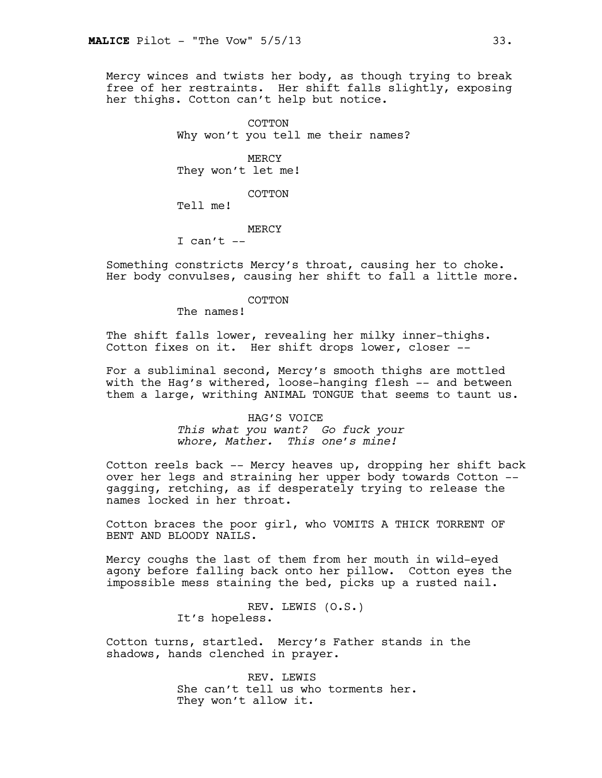Mercy winces and twists her body, as though trying to break free of her restraints. Her shift falls slightly, exposing her thighs. Cotton can't help but notice.

> COTTON Why won't you tell me their names?

MERCY They won't let me!

COTTON

Tell me!

MERCY

I can't  $--$ 

Something constricts Mercy's throat, causing her to choke. Her body convulses, causing her shift to fall a little more.

#### COTTON

The names!

The shift falls lower, revealing her milky inner-thighs. Cotton fixes on it. Her shift drops lower, closer --

For a subliminal second, Mercy's smooth thighs are mottled with the Hag's withered, loose-hanging flesh -- and between them a large, writhing ANIMAL TONGUE that seems to taunt us.

> HAG'S VOICE *This what you want? Go fuck your whore, Mather. This one's mine!*

Cotton reels back -- Mercy heaves up, dropping her shift back over her legs and straining her upper body towards Cotton - gagging, retching, as if desperately trying to release the names locked in her throat.

Cotton braces the poor girl, who VOMITS A THICK TORRENT OF BENT AND BLOODY NAILS.

Mercy coughs the last of them from her mouth in wild-eyed agony before falling back onto her pillow. Cotton eyes the impossible mess staining the bed, picks up a rusted nail.

> REV. LEWIS (O.S.) It's hopeless.

Cotton turns, startled. Mercy's Father stands in the shadows, hands clenched in prayer.

> REV. LEWIS She can't tell us who torments her. They won't allow it.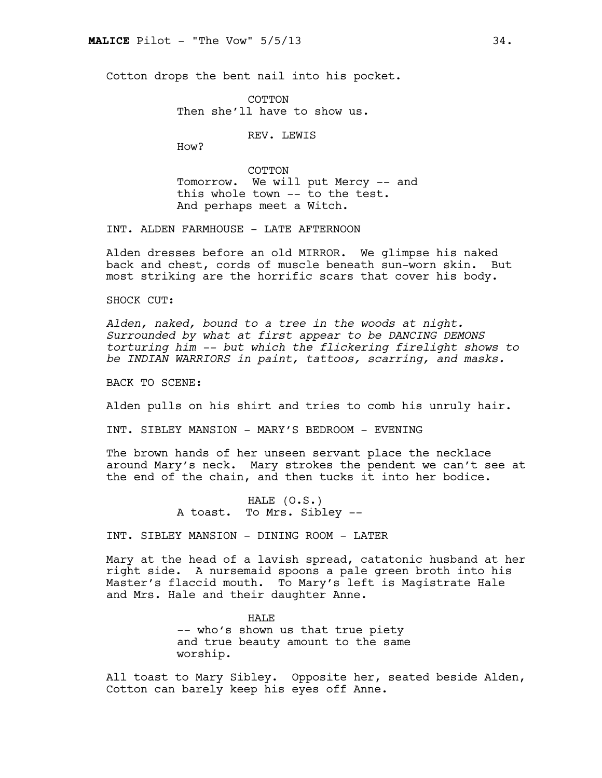Cotton drops the bent nail into his pocket.

**COTTON** Then she'll have to show us.

REV. LEWIS

How?

COTTON Tomorrow. We will put Mercy -- and this whole town -- to the test. And perhaps meet a Witch.

INT. ALDEN FARMHOUSE - LATE AFTERNOON

Alden dresses before an old MIRROR. We glimpse his naked back and chest, cords of muscle beneath sun-worn skin. But most striking are the horrific scars that cover his body.

SHOCK CUT:

*Alden, naked, bound to a tree in the woods at night. Surrounded by what at first appear to be DANCING DEMONS torturing him -- but which the flickering firelight shows to be INDIAN WARRIORS in paint, tattoos, scarring, and masks.*

BACK TO SCENE:

Alden pulls on his shirt and tries to comb his unruly hair.

INT. SIBLEY MANSION - MARY'S BEDROOM - EVENING

The brown hands of her unseen servant place the necklace around Mary's neck. Mary strokes the pendent we can't see at the end of the chain, and then tucks it into her bodice.

> HALE (O.S.) A toast. To Mrs. Sibley --

INT. SIBLEY MANSION - DINING ROOM - LATER

Mary at the head of a lavish spread, catatonic husband at her right side. A nursemaid spoons a pale green broth into his Master's flaccid mouth. To Mary's left is Magistrate Hale and Mrs. Hale and their daughter Anne.

> HAL<sub>E</sub> -- who's shown us that true piety and true beauty amount to the same worship.

All toast to Mary Sibley. Opposite her, seated beside Alden, Cotton can barely keep his eyes off Anne.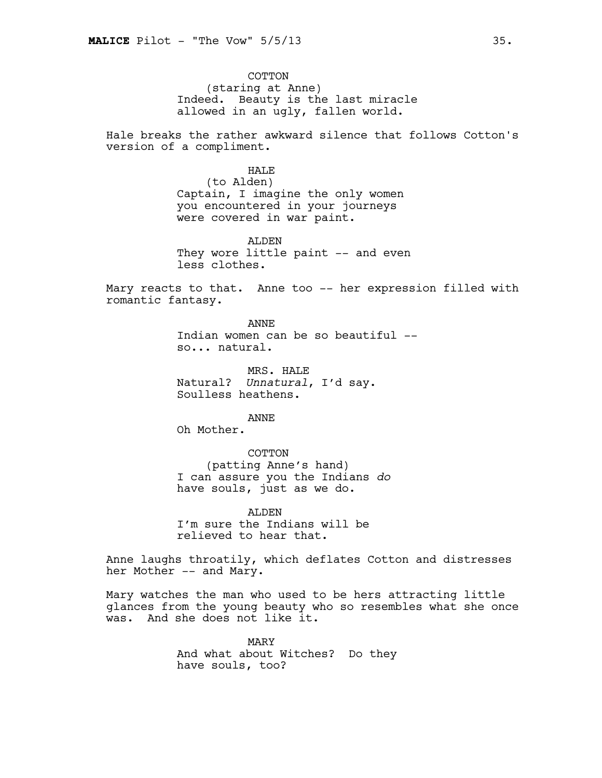COTTON (staring at Anne) Indeed. Beauty is the last miracle allowed in an ugly, fallen world.

Hale breaks the rather awkward silence that follows Cotton's version of a compliment.

## HALE

(to Alden) Captain, I imagine the only women you encountered in your journeys were covered in war paint.

ALDEN They wore little paint -- and even less clothes.

Mary reacts to that. Anne too -- her expression filled with romantic fantasy.

> ANNE Indian women can be so beautiful - so... natural.

MRS. HALE Natural? *Unnatural*, I'd say. Soulless heathens.

ANNE

Oh Mother.

#### COTTON

(patting Anne's hand) I can assure you the Indians *do* have souls, just as we do.

ALDEN I'm sure the Indians will be relieved to hear that.

Anne laughs throatily, which deflates Cotton and distresses her Mother -- and Mary.

Mary watches the man who used to be hers attracting little glances from the young beauty who so resembles what she once was. And she does not like it.

> MARY And what about Witches? Do they have souls, too?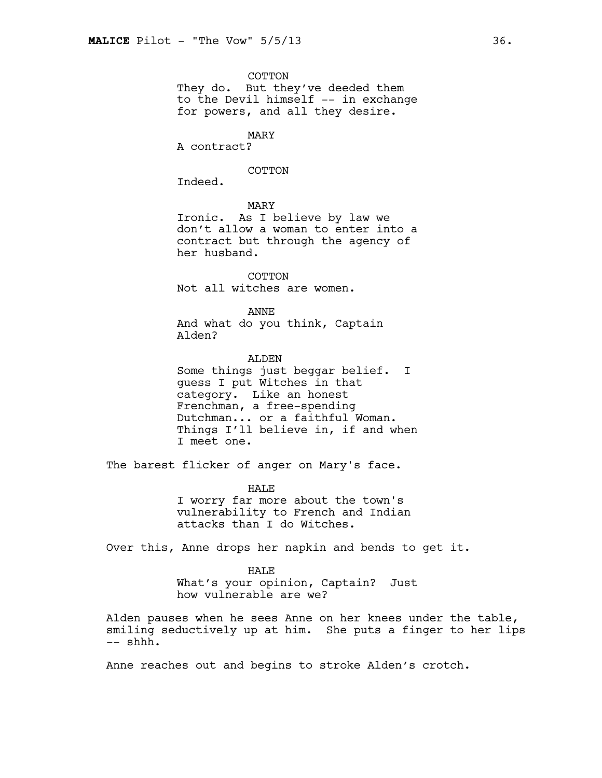COTTON

They do. But they've deeded them to the Devil himself -- in exchange for powers, and all they desire.

MARY

A contract?

COTTON

Indeed.

MARY

Ironic. As I believe by law we don't allow a woman to enter into a contract but through the agency of her husband.

COTTON Not all witches are women.

ANNE

And what do you think, Captain Alden?

ALDEN Some things just beggar belief. I guess I put Witches in that category. Like an honest Frenchman, a free-spending Dutchman... or a faithful Woman. Things I'll believe in, if and when I meet one.

The barest flicker of anger on Mary's face.

HAL<sub>E</sub> I worry far more about the town's vulnerability to French and Indian attacks than I do Witches.

Over this, Anne drops her napkin and bends to get it.

HALE What's your opinion, Captain? Just how vulnerable are we?

Alden pauses when he sees Anne on her knees under the table, smiling seductively up at him. She puts a finger to her lips -- shhh.

Anne reaches out and begins to stroke Alden's crotch.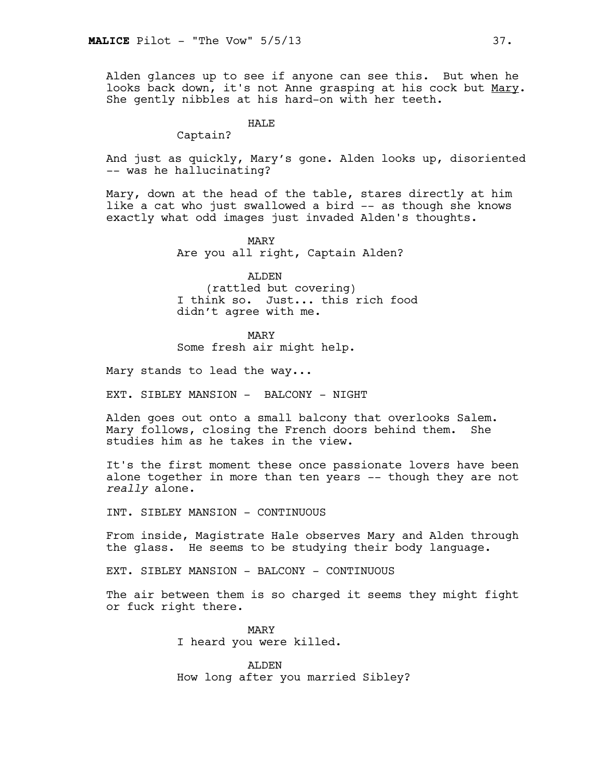Alden glances up to see if anyone can see this. But when he looks back down, it's not Anne grasping at his cock but Mary. She gently nibbles at his hard-on with her teeth.

## HALE

Captain?

And just as quickly, Mary's gone. Alden looks up, disoriented -- was he hallucinating?

Mary, down at the head of the table, stares directly at him like a cat who just swallowed a bird -- as though she knows exactly what odd images just invaded Alden's thoughts.

> MARY Are you all right, Captain Alden?

ALDEN (rattled but covering) I think so. Just... this rich food didn't agree with me.

MARY Some fresh air might help.

Mary stands to lead the way...

EXT. SIBLEY MANSION - BALCONY - NIGHT

Alden goes out onto a small balcony that overlooks Salem. Mary follows, closing the French doors behind them. She studies him as he takes in the view.

It's the first moment these once passionate lovers have been alone together in more than ten years -- though they are not *really* alone.

INT. SIBLEY MANSION - CONTINUOUS

From inside, Magistrate Hale observes Mary and Alden through the glass. He seems to be studying their body language.

EXT. SIBLEY MANSION - BALCONY - CONTINUOUS

The air between them is so charged it seems they might fight or fuck right there.

> MARY I heard you were killed.

ALDEN How long after you married Sibley?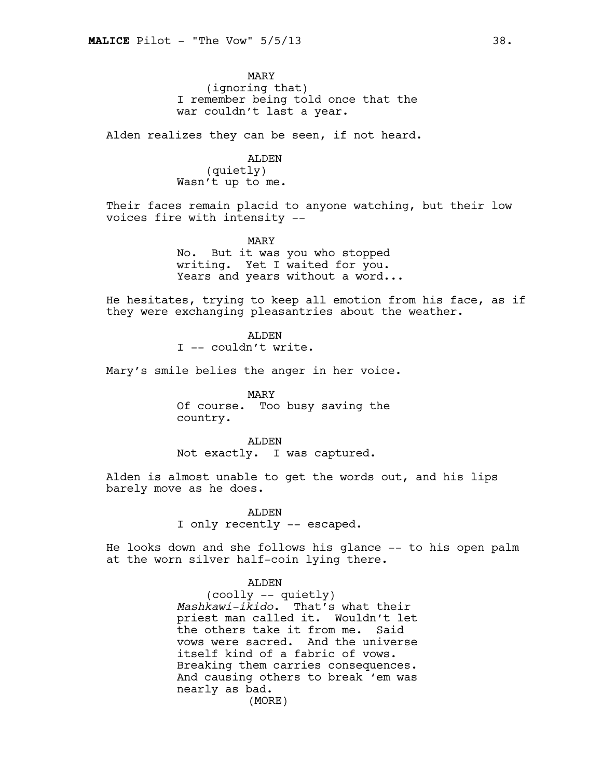MARY (ignoring that) I remember being told once that the war couldn't last a year.

Alden realizes they can be seen, if not heard.

## ALDEN

(quietly) Wasn't up to me.

Their faces remain placid to anyone watching, but their low voices fire with intensity --

MARY

No. But it was you who stopped writing. Yet I waited for you. Years and years without a word...

He hesitates, trying to keep all emotion from his face, as if they were exchanging pleasantries about the weather.

> ALDEN I -- couldn't write.

Mary's smile belies the anger in her voice.

MARY Of course. Too busy saving the country.

ALDEN Not exactly. I was captured.

Alden is almost unable to get the words out, and his lips barely move as he does.

> ALDEN I only recently -- escaped.

He looks down and she follows his glance -- to his open palm at the worn silver half-coin lying there.

ALDEN

(coolly -- quietly) *Mashkawi-ikido*. That's what their priest man called it. Wouldn't let the others take it from me. Said vows were sacred. And the universe itself kind of a fabric of vows. Breaking them carries consequences. And causing others to break 'em was nearly as bad. (MORE)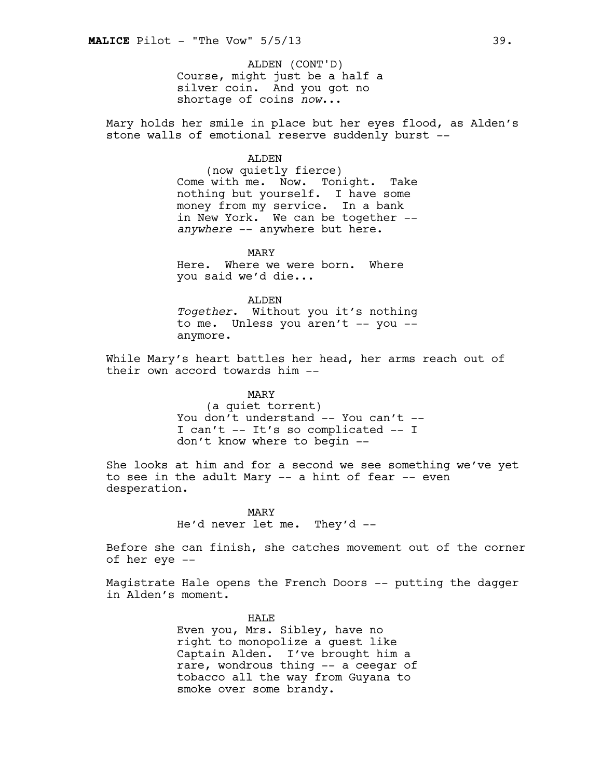Course, might just be a half a silver coin. And you got no shortage of coins *now*... ALDEN (CONT'D)

Mary holds her smile in place but her eyes flood, as Alden's stone walls of emotional reserve suddenly burst --

#### ALDEN

(now quietly fierce) Come with me. Now. Tonight. Take nothing but yourself. I have some money from my service. In a bank in New York. We can be together -*anywhere* -- anywhere but here.

MARY Here. Where we were born. Where you said we'd die...

ALDEN *Together*. Without you it's nothing to me. Unless you aren't -- you -anymore.

While Mary's heart battles her head, her arms reach out of their own accord towards him --

MARY

(a quiet torrent) You don't understand -- You can't --I can't -- It's so complicated -- I don't know where to begin --

She looks at him and for a second we see something we've yet to see in the adult Mary -- a hint of fear -- even desperation.

> MARY He'd never let me. They'd --

Before she can finish, she catches movement out of the corner of her eye --

Magistrate Hale opens the French Doors -- putting the dagger in Alden's moment.

> HAL<sub>E</sub> Even you, Mrs. Sibley, have no right to monopolize a guest like Captain Alden. I've brought him a rare, wondrous thing -- a ceegar of tobacco all the way from Guyana to smoke over some brandy.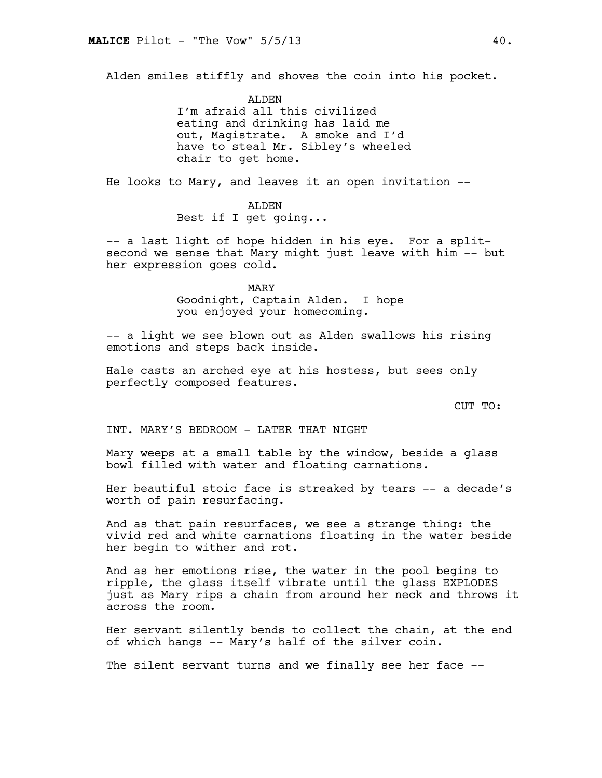Alden smiles stiffly and shoves the coin into his pocket.

ALDEN I'm afraid all this civilized eating and drinking has laid me out, Magistrate. A smoke and I'd have to steal Mr. Sibley's wheeled chair to get home.

He looks to Mary, and leaves it an open invitation --

# ALDEN

Best if I get going...

-- a last light of hope hidden in his eye. For a splitsecond we sense that Mary might just leave with him -- but her expression goes cold.

MARY

Goodnight, Captain Alden. I hope you enjoyed your homecoming.

-- a light we see blown out as Alden swallows his rising emotions and steps back inside.

Hale casts an arched eye at his hostess, but sees only perfectly composed features.

CUT TO:

INT. MARY'S BEDROOM - LATER THAT NIGHT

Mary weeps at a small table by the window, beside a glass bowl filled with water and floating carnations.

Her beautiful stoic face is streaked by tears -- a decade's worth of pain resurfacing.

And as that pain resurfaces, we see a strange thing: the vivid red and white carnations floating in the water beside her begin to wither and rot.

And as her emotions rise, the water in the pool begins to ripple, the glass itself vibrate until the glass EXPLODES just as Mary rips a chain from around her neck and throws it across the room.

Her servant silently bends to collect the chain, at the end of which hangs -- Mary's half of the silver coin.

The silent servant turns and we finally see her face --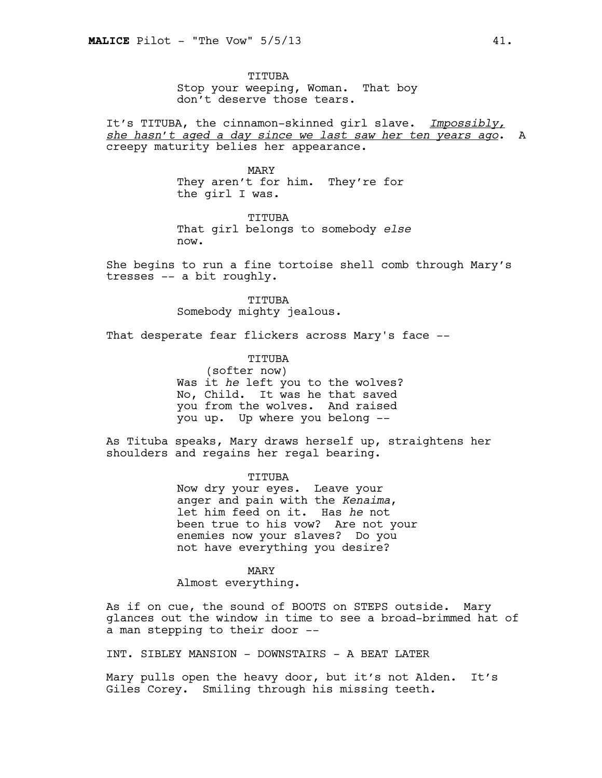TITUBA Stop your weeping, Woman. That boy don't deserve those tears.

It's TITUBA, the cinnamon-skinned girl slave. *Impossibly, she hasn't aged a day since we last saw her ten years ago*. A creepy maturity belies her appearance.

> MARY They aren't for him. They're for the girl I was.

TITUBA That girl belongs to somebody *else* now.

She begins to run a fine tortoise shell comb through Mary's tresses -- a bit roughly.

> TITUBA Somebody mighty jealous.

That desperate fear flickers across Mary's face --

TITUBA (softer now) Was it *he* left you to the wolves? No, Child. It was he that saved you from the wolves. And raised you up. Up where you belong --

As Tituba speaks, Mary draws herself up, straightens her shoulders and regains her regal bearing.

> TITUBA Now dry your eyes. Leave your anger and pain with the *Kenaima*, let him feed on it. Has *he* not been true to his vow? Are not your enemies now your slaves? Do you

not have everything you desire?

MARY Almost everything.

As if on cue, the sound of BOOTS on STEPS outside. Mary glances out the window in time to see a broad-brimmed hat of a man stepping to their door --

INT. SIBLEY MANSION - DOWNSTAIRS - A BEAT LATER

Mary pulls open the heavy door, but it's not Alden. It's Giles Corey. Smiling through his missing teeth.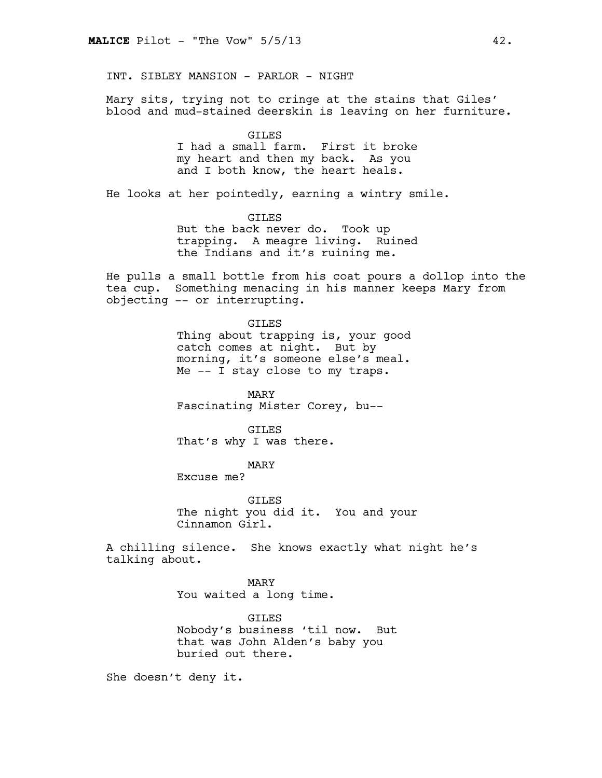INT. SIBLEY MANSION - PARLOR - NIGHT

Mary sits, trying not to cringe at the stains that Giles' blood and mud-stained deerskin is leaving on her furniture.

> GILES I had a small farm. First it broke my heart and then my back. As you and I both know, the heart heals.

He looks at her pointedly, earning a wintry smile.

GILES But the back never do. Took up trapping. A meagre living. Ruined the Indians and it's ruining me.

He pulls a small bottle from his coat pours a dollop into the tea cup. Something menacing in his manner keeps Mary from objecting -- or interrupting.

> GILES Thing about trapping is, your good catch comes at night. But by morning, it's someone else's meal. Me -- I stay close to my traps.

MARY Fascinating Mister Corey, bu--

GILES That's why I was there.

MARY

Excuse me?

GILES The night you did it. You and your Cinnamon Girl.

A chilling silence. She knows exactly what night he's talking about.

> MARY You waited a long time.

GILES Nobody's business 'til now. But that was John Alden's baby you buried out there.

She doesn't deny it.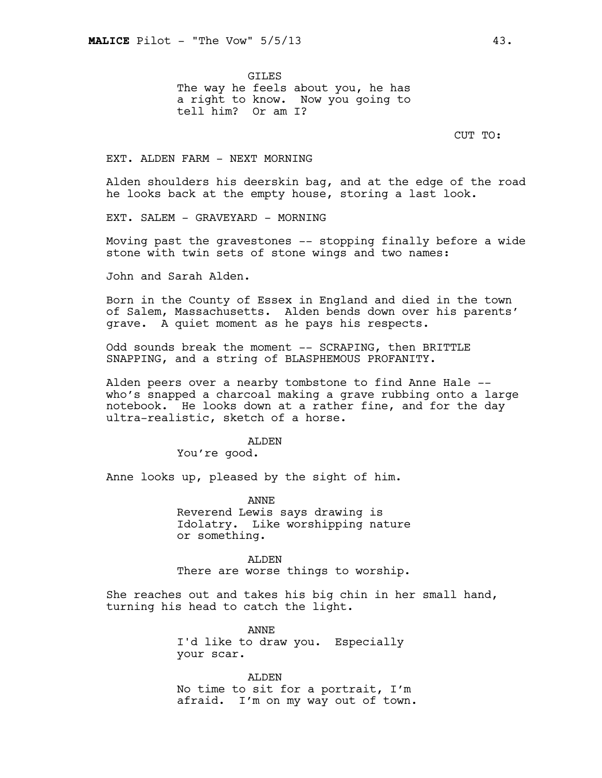GILES The way he feels about you, he has a right to know. Now you going to tell him? Or am I?

CUT TO:

#### EXT. ALDEN FARM - NEXT MORNING

Alden shoulders his deerskin bag, and at the edge of the road he looks back at the empty house, storing a last look.

EXT. SALEM - GRAVEYARD - MORNING

Moving past the gravestones -- stopping finally before a wide stone with twin sets of stone wings and two names:

John and Sarah Alden.

Born in the County of Essex in England and died in the town of Salem, Massachusetts. Alden bends down over his parents' grave. A quiet moment as he pays his respects.

Odd sounds break the moment -- SCRAPING, then BRITTLE SNAPPING, and a string of BLASPHEMOUS PROFANITY.

Alden peers over a nearby tombstone to find Anne Hale - who's snapped a charcoal making a grave rubbing onto a large notebook. He looks down at a rather fine, and for the day ultra-realistic, sketch of a horse.

#### ALDEN

You're good.

Anne looks up, pleased by the sight of him.

ANNE Reverend Lewis says drawing is Idolatry. Like worshipping nature or something.

ALDEN There are worse things to worship.

She reaches out and takes his big chin in her small hand, turning his head to catch the light.

> ANNE I'd like to draw you. Especially your scar.

ALDEN No time to sit for a portrait, I'm afraid. I'm on my way out of town.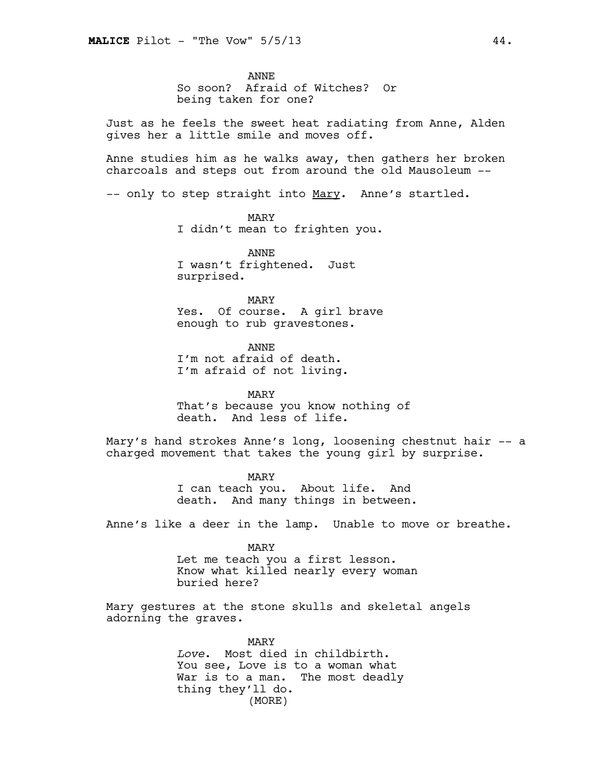ANNE So soon? Afraid of Witches? Or being taken for one?

Just as he feels the sweet heat radiating from Anne, Alden gives her a little smile and moves off.

Anne studies him as he walks away, then gathers her broken charcoals and steps out from around the old Mausoleum --

-- only to step straight into Mary. Anne's startled.

#### MARY

I didn't mean to frighten you.

ANNE I wasn't frightened. Just surprised.

# MARY Yes. Of course. A girl brave enough to rub gravestones.

ANNE I'm not afraid of death. I'm afraid of not living.

MARY That's because you know nothing of death. And less of life.

Mary's hand strokes Anne's long, loosening chestnut hair -- a charged movement that takes the young girl by surprise.

> MARY I can teach you. About life. And death. And many things in between.

Anne's like a deer in the lamp. Unable to move or breathe.

MARY Let me teach you a first lesson. Know what killed nearly every woman buried here?

Mary gestures at the stone skulls and skeletal angels adorning the graves.

> MARY *Love*. Most died in childbirth. You see, Love is to a woman what War is to a man. The most deadly thing they'll do. (MORE)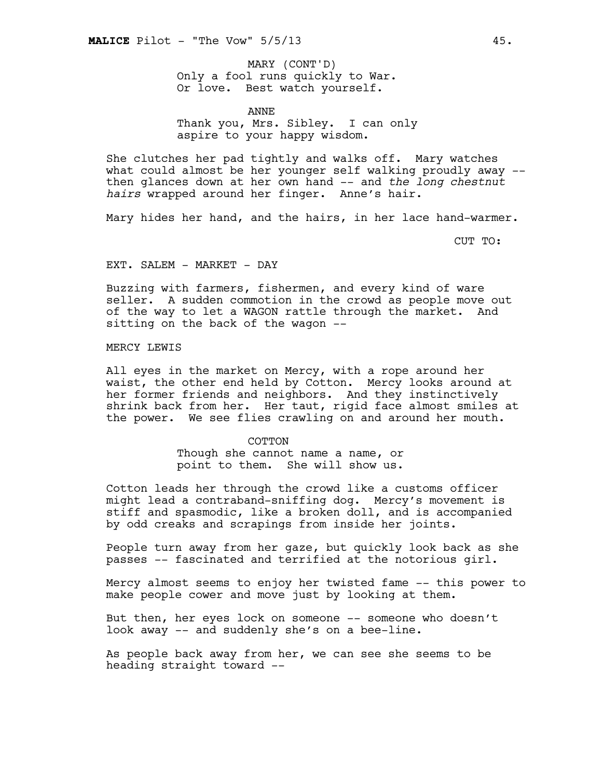Only a fool runs quickly to War. Or love. Best watch yourself. MARY (CONT'D)

ANNE Thank you, Mrs. Sibley. I can only aspire to your happy wisdom.

She clutches her pad tightly and walks off. Mary watches what could almost be her younger self walking proudly away - then glances down at her own hand -- and *the long chestnut hairs* wrapped around her finger. Anne's hair.

Mary hides her hand, and the hairs, in her lace hand-warmer.

CUT TO:

EXT. SALEM - MARKET - DAY

Buzzing with farmers, fishermen, and every kind of ware seller. A sudden commotion in the crowd as people move out of the way to let a WAGON rattle through the market. And sitting on the back of the wagon --

MERCY LEWIS

All eyes in the market on Mercy, with a rope around her waist, the other end held by Cotton. Mercy looks around at her former friends and neighbors. And they instinctively shrink back from her. Her taut, rigid face almost smiles at the power. We see flies crawling on and around her mouth.

> **COTTON** Though she cannot name a name, or point to them. She will show us.

Cotton leads her through the crowd like a customs officer might lead a contraband-sniffing dog. Mercy's movement is stiff and spasmodic, like a broken doll, and is accompanied by odd creaks and scrapings from inside her joints.

People turn away from her gaze, but quickly look back as she passes -- fascinated and terrified at the notorious girl.

Mercy almost seems to enjoy her twisted fame -- this power to make people cower and move just by looking at them.

But then, her eyes lock on someone -- someone who doesn't look away -- and suddenly she's on a bee-line.

As people back away from her, we can see she seems to be heading straight toward --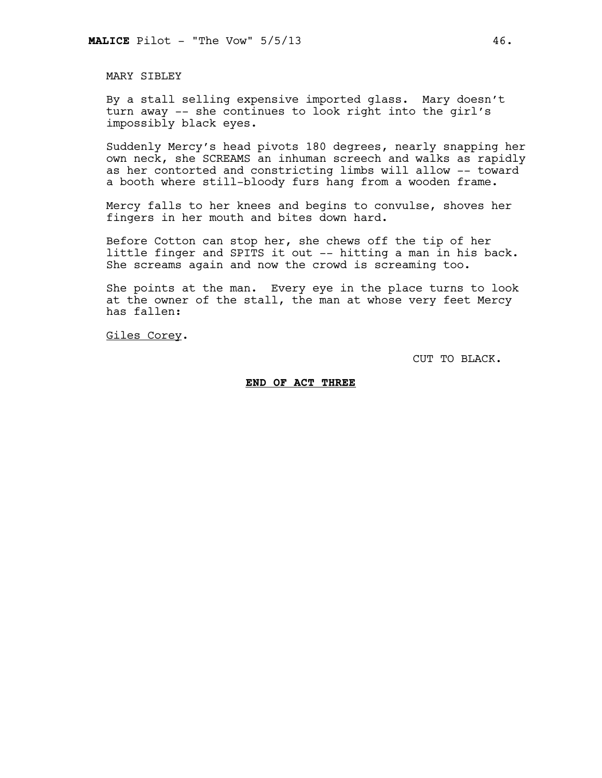MARY SIBLEY

By a stall selling expensive imported glass. Mary doesn't turn away -- she continues to look right into the girl's impossibly black eyes.

Suddenly Mercy's head pivots 180 degrees, nearly snapping her own neck, she SCREAMS an inhuman screech and walks as rapidly as her contorted and constricting limbs will allow -- toward a booth where still-bloody furs hang from a wooden frame.

Mercy falls to her knees and begins to convulse, shoves her fingers in her mouth and bites down hard.

Before Cotton can stop her, she chews off the tip of her little finger and SPITS it out -- hitting a man in his back. She screams again and now the crowd is screaming too.

She points at the man. Every eye in the place turns to look at the owner of the stall, the man at whose very feet Mercy has fallen:

Giles Corey.

CUT TO BLACK.

### **END OF ACT THREE**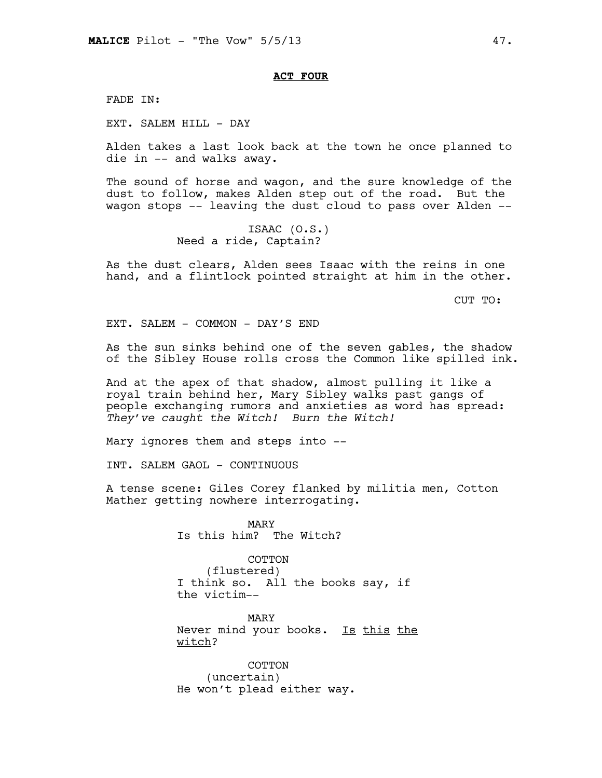## **ACT FOUR**

FADE IN:

EXT. SALEM HILL - DAY

Alden takes a last look back at the town he once planned to die in -- and walks away.

The sound of horse and wagon, and the sure knowledge of the dust to follow, makes Alden step out of the road. But the wagon stops -- leaving the dust cloud to pass over Alden --

> ISAAC (O.S.) Need a ride, Captain?

As the dust clears, Alden sees Isaac with the reins in one hand, and a flintlock pointed straight at him in the other.

CUT TO:

EXT. SALEM - COMMON - DAY'S END

As the sun sinks behind one of the seven gables, the shadow of the Sibley House rolls cross the Common like spilled ink.

And at the apex of that shadow, almost pulling it like a royal train behind her, Mary Sibley walks past gangs of people exchanging rumors and anxieties as word has spread: *They've caught the Witch! Burn the Witch!* 

Mary ignores them and steps into --

INT. SALEM GAOL - CONTINUOUS

A tense scene: Giles Corey flanked by militia men, Cotton Mather getting nowhere interrogating.

> MARY Is this him? The Witch?

COTTON (flustered) I think so. All the books say, if the victim--

MARY Never mind your books. Is this the witch?

COTTON (uncertain) He won't plead either way.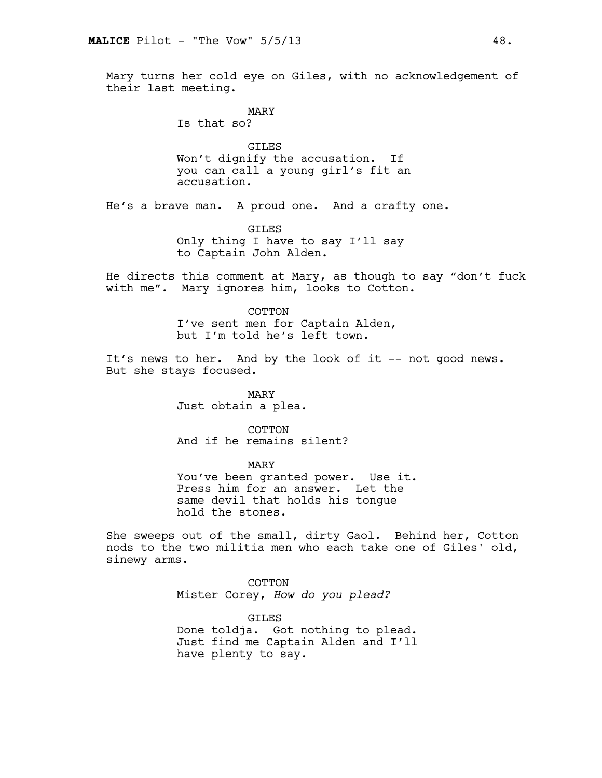Mary turns her cold eye on Giles, with no acknowledgement of their last meeting.

> MARY Is that so?

GILES Won't dignify the accusation. If you can call a young girl's fit an accusation.

He's a brave man. A proud one. And a crafty one.

GILES Only thing I have to say I'll say to Captain John Alden.

He directs this comment at Mary, as though to say "don't fuck with me". Mary ignores him, looks to Cotton.

> COTTON I've sent men for Captain Alden, but I'm told he's left town.

It's news to her. And by the look of it -- not good news. But she stays focused.

> MARY Just obtain a plea.

COTTON And if he remains silent?

MARY

You've been granted power. Use it. Press him for an answer. Let the same devil that holds his tongue hold the stones.

She sweeps out of the small, dirty Gaol. Behind her, Cotton nods to the two militia men who each take one of Giles' old, sinewy arms.

> COTTON Mister Corey, *How do you plead?*

**GTLES** Done toldja. Got nothing to plead. Just find me Captain Alden and I'll have plenty to say.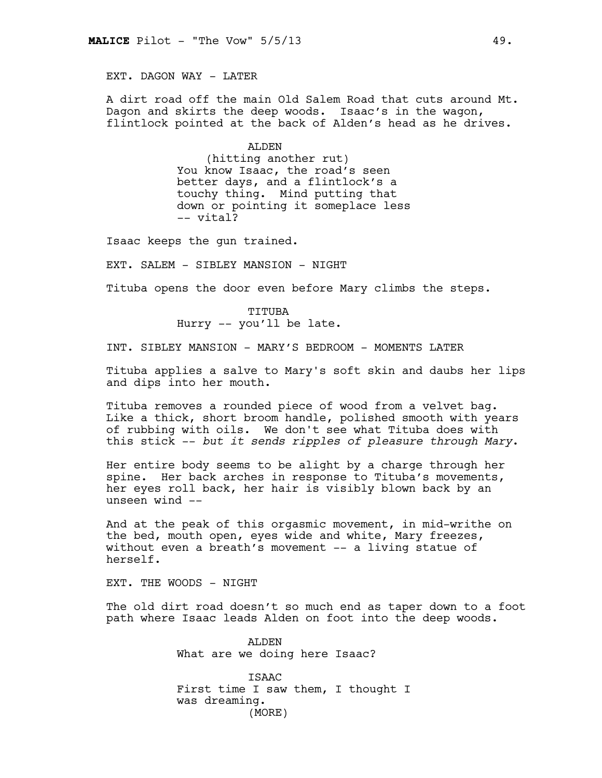EXT. DAGON WAY - LATER

A dirt road off the main Old Salem Road that cuts around Mt. Dagon and skirts the deep woods. Isaac's in the wagon, flintlock pointed at the back of Alden's head as he drives.

> ALDEN (hitting another rut) You know Isaac, the road's seen better days, and a flintlock's a touchy thing. Mind putting that down or pointing it someplace less -- vital?

Isaac keeps the gun trained.

EXT. SALEM - SIBLEY MANSION - NIGHT

Tituba opens the door even before Mary climbs the steps.

TITUBA Hurry -- you'll be late.

INT. SIBLEY MANSION - MARY'S BEDROOM - MOMENTS LATER

Tituba applies a salve to Mary's soft skin and daubs her lips and dips into her mouth.

Tituba removes a rounded piece of wood from a velvet bag. Like a thick, short broom handle, polished smooth with years of rubbing with oils. We don't see what Tituba does with this stick -- *but it sends ripples of pleasure through Mary*.

Her entire body seems to be alight by a charge through her spine. Her back arches in response to Tituba's movements, her eyes roll back, her hair is visibly blown back by an unseen wind --

And at the peak of this orgasmic movement, in mid-writhe on the bed, mouth open, eyes wide and white, Mary freezes, without even a breath's movement -- a living statue of herself.

EXT. THE WOODS - NIGHT

The old dirt road doesn't so much end as taper down to a foot path where Isaac leads Alden on foot into the deep woods.

> ALDEN What are we doing here Isaac?

ISAAC First time I saw them, I thought I was dreaming. (MORE)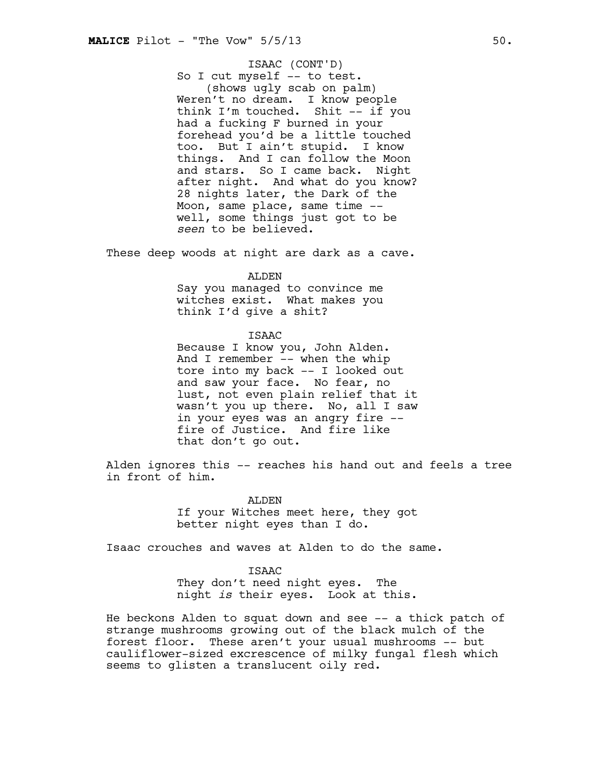# ISAAC (CONT'D)

So I cut myself -- to test. (shows ugly scab on palm) Weren't no dream. I know people think I'm touched. Shit -- if you had a fucking F burned in your forehead you'd be a little touched too. But I ain't stupid. I know things. And I can follow the Moon and stars. So I came back. Night after night. And what do you know? 28 nights later, the Dark of the Moon, same place, same time - well, some things just got to be *seen* to be believed.

These deep woods at night are dark as a cave.

## ALDEN

Say you managed to convince me witches exist. What makes you think I'd give a shit?

## ISAAC

Because I know you, John Alden. And I remember -- when the whip tore into my back -- I looked out and saw your face. No fear, no lust, not even plain relief that it wasn't you up there. No, all I saw in your eyes was an angry fire - fire of Justice. And fire like that don't go out.

Alden ignores this -- reaches his hand out and feels a tree in front of him.

> ALDEN If your Witches meet here, they got better night eyes than I do.

Isaac crouches and waves at Alden to do the same.

**TSAAC** They don't need night eyes. The night *is* their eyes. Look at this.

He beckons Alden to squat down and see -- a thick patch of strange mushrooms growing out of the black mulch of the forest floor. These aren't your usual mushrooms -- but cauliflower-sized excrescence of milky fungal flesh which seems to glisten a translucent oily red.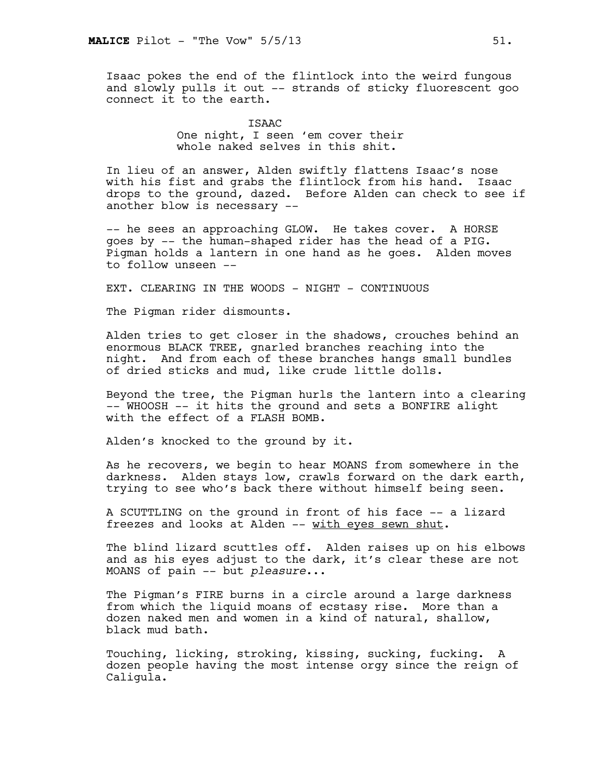Isaac pokes the end of the flintlock into the weird fungous and slowly pulls it out -- strands of sticky fluorescent goo connect it to the earth.

> **TSAAC** One night, I seen 'em cover their whole naked selves in this shit.

In lieu of an answer, Alden swiftly flattens Isaac's nose with his fist and grabs the flintlock from his hand. Isaac drops to the ground, dazed. Before Alden can check to see if another blow is necessary --

-- he sees an approaching GLOW. He takes cover. A HORSE goes by -- the human-shaped rider has the head of a PIG. Pigman holds a lantern in one hand as he goes. Alden moves to follow unseen --

EXT. CLEARING IN THE WOODS - NIGHT - CONTINUOUS

The Pigman rider dismounts.

Alden tries to get closer in the shadows, crouches behind an enormous BLACK TREE, gnarled branches reaching into the night. And from each of these branches hangs small bundles of dried sticks and mud, like crude little dolls.

Beyond the tree, the Pigman hurls the lantern into a clearing -- WHOOSH -- it hits the ground and sets a BONFIRE alight with the effect of a FLASH BOMB.

Alden's knocked to the ground by it.

As he recovers, we begin to hear MOANS from somewhere in the darkness. Alden stays low, crawls forward on the dark earth, trying to see who's back there without himself being seen.

A SCUTTLING on the ground in front of his face -- a lizard freezes and looks at Alden -- with eyes sewn shut.

The blind lizard scuttles off. Alden raises up on his elbows and as his eyes adjust to the dark, it's clear these are not MOANS of pain -- but *pleasure*...

The Pigman's FIRE burns in a circle around a large darkness from which the liquid moans of ecstasy rise. More than a dozen naked men and women in a kind of natural, shallow, black mud bath.

Touching, licking, stroking, kissing, sucking, fucking. A dozen people having the most intense orgy since the reign of Caligula.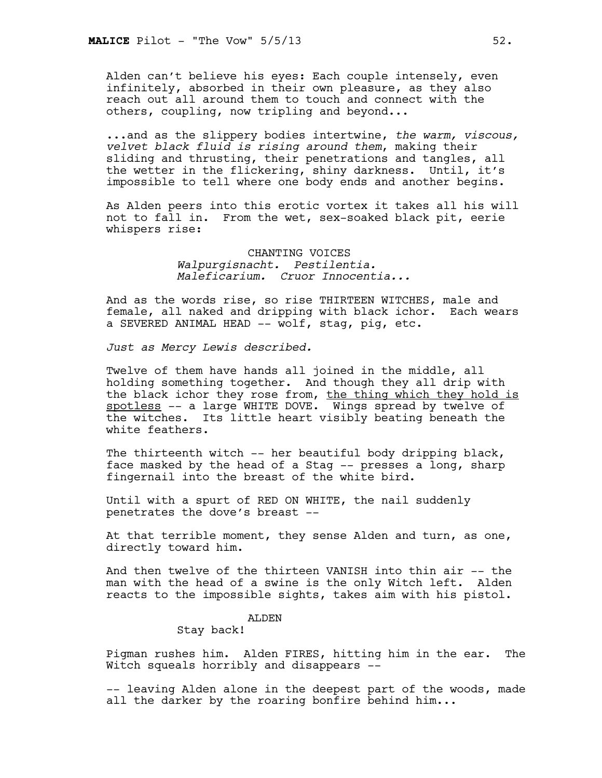Alden can't believe his eyes: Each couple intensely, even infinitely, absorbed in their own pleasure, as they also reach out all around them to touch and connect with the others, coupling, now tripling and beyond...

...and as the slippery bodies intertwine, *the warm, viscous, velvet black fluid is rising around them*, making their sliding and thrusting, their penetrations and tangles, all the wetter in the flickering, shiny darkness. Until, it's impossible to tell where one body ends and another begins.

As Alden peers into this erotic vortex it takes all his will not to fall in. From the wet, sex-soaked black pit, eerie whispers rise:

> CHANTING VOICES *Walpurgisnacht. Pestilentia. Maleficarium. Cruor Innocentia...*

And as the words rise, so rise THIRTEEN WITCHES, male and female, all naked and dripping with black ichor. Each wears a SEVERED ANIMAL HEAD -- wolf, stag, pig, etc.

*Just as Mercy Lewis described.* 

Twelve of them have hands all joined in the middle, all holding something together. And though they all drip with the black ichor they rose from, the thing which they hold is spotless -- a large WHITE DOVE. Wings spread by twelve of the witches. Its little heart visibly beating beneath the white feathers.

The thirteenth witch -- her beautiful body dripping black, face masked by the head of a Stag -- presses a long, sharp fingernail into the breast of the white bird.

Until with a spurt of RED ON WHITE, the nail suddenly penetrates the dove's breast --

At that terrible moment, they sense Alden and turn, as one, directly toward him.

And then twelve of the thirteen VANISH into thin air -- the man with the head of a swine is the only Witch left. Alden reacts to the impossible sights, takes aim with his pistol.

## ALDEN

Stay back!

Pigman rushes him. Alden FIRES, hitting him in the ear. The Witch squeals horribly and disappears --

-- leaving Alden alone in the deepest part of the woods, made all the darker by the roaring bonfire behind him...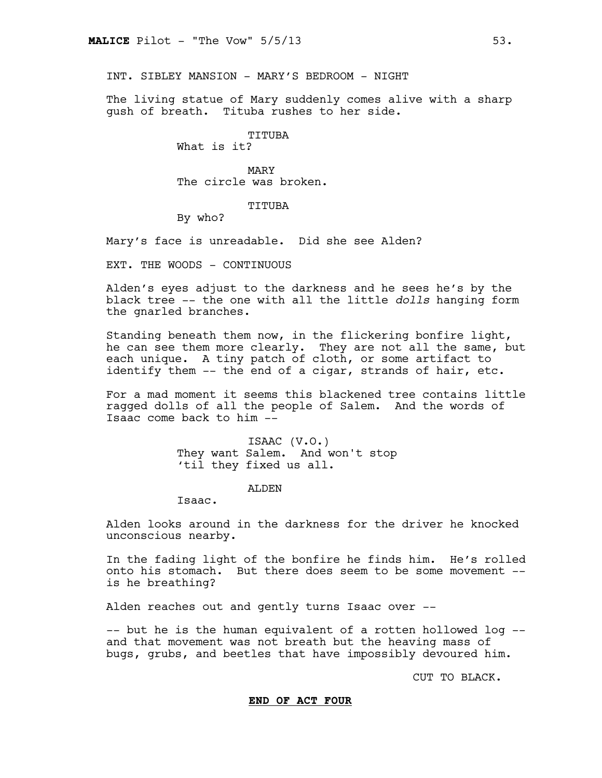INT. SIBLEY MANSION - MARY'S BEDROOM - NIGHT

The living statue of Mary suddenly comes alive with a sharp gush of breath. Tituba rushes to her side.

TITUBA

What is it?

MARY The circle was broken.

#### TITUBA

By who?

Mary's face is unreadable. Did she see Alden?

EXT. THE WOODS - CONTINUOUS

Alden's eyes adjust to the darkness and he sees he's by the black tree -- the one with all the little *dolls* hanging form the gnarled branches.

Standing beneath them now, in the flickering bonfire light, he can see them more clearly. They are not all the same, but each unique. A tiny patch of cloth, or some artifact to identify them -- the end of a cigar, strands of hair, etc.

For a mad moment it seems this blackened tree contains little ragged dolls of all the people of Salem. And the words of Isaac come back to him --

> ISAAC (V.O.) They want Salem. And won't stop 'til they fixed us all.

> > ALDEN

Isaac.

Alden looks around in the darkness for the driver he knocked unconscious nearby.

In the fading light of the bonfire he finds him. He's rolled onto his stomach. But there does seem to be some movement - is he breathing?

Alden reaches out and gently turns Isaac over --

-- but he is the human equivalent of a rotten hollowed log - and that movement was not breath but the heaving mass of bugs, grubs, and beetles that have impossibly devoured him.

CUT TO BLACK.

#### **END OF ACT FOUR**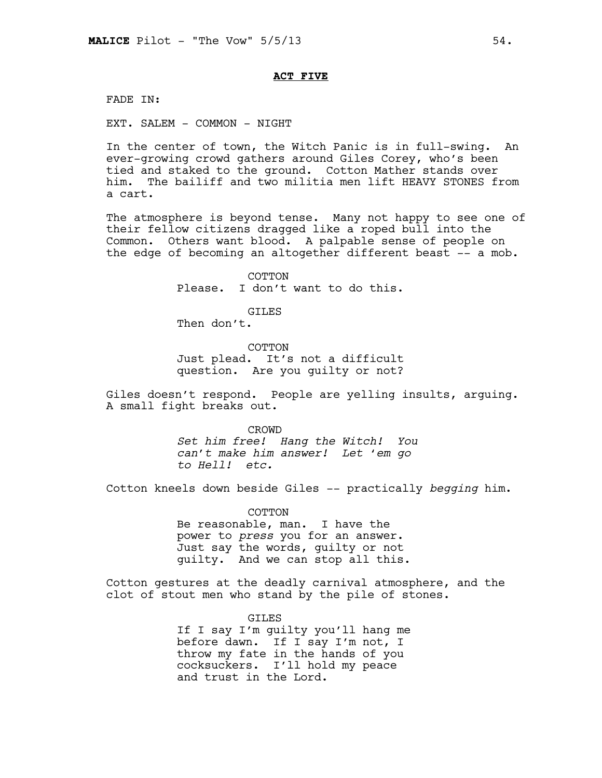## **ACT FIVE**

FADE IN:

EXT. SALEM - COMMON - NIGHT

In the center of town, the Witch Panic is in full-swing. An ever-growing crowd gathers around Giles Corey, who's been tied and staked to the ground. Cotton Mather stands over him. The bailiff and two militia men lift HEAVY STONES from a cart.

The atmosphere is beyond tense. Many not happy to see one of their fellow citizens dragged like a roped bull into the Common. Others want blood. A palpable sense of people on the edge of becoming an altogether different beast -- a mob.

> COTTON Please. I don't want to do this.

> > **GTLES**

Then don't.

COTTON Just plead. It's not a difficult question. Are you guilty or not?

Giles doesn't respond. People are yelling insults, arguing. A small fight breaks out.

> CROWD *Set him free! Hang the Witch! You can't make him answer! Let 'em go to Hell! etc.*

Cotton kneels down beside Giles -- practically *begging* him.

COTTON Be reasonable, man. I have the power to *press* you for an answer. Just say the words, guilty or not guilty. And we can stop all this.

Cotton gestures at the deadly carnival atmosphere, and the clot of stout men who stand by the pile of stones.

> GILES If I say I'm guilty you'll hang me before dawn. If I say I'm not, I throw my fate in the hands of you cocksuckers. I'll hold my peace and trust in the Lord.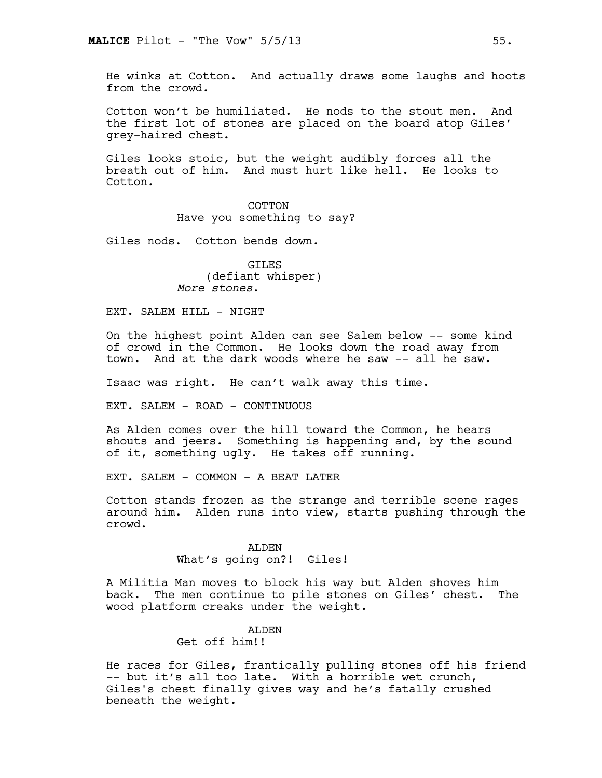He winks at Cotton. And actually draws some laughs and hoots from the crowd.

Cotton won't be humiliated. He nods to the stout men. And the first lot of stones are placed on the board atop Giles' grey-haired chest.

Giles looks stoic, but the weight audibly forces all the breath out of him. And must hurt like hell. He looks to Cotton.

> COTTON Have you something to say?

Giles nods. Cotton bends down.

GILES (defiant whisper) *More stones*.

EXT. SALEM HILL - NIGHT

On the highest point Alden can see Salem below -- some kind of crowd in the Common. He looks down the road away from town. And at the dark woods where he saw -- all he saw.

Isaac was right. He can't walk away this time.

EXT. SALEM - ROAD - CONTINUOUS

As Alden comes over the hill toward the Common, he hears shouts and jeers. Something is happening and, by the sound of it, something ugly. He takes off running.

EXT. SALEM - COMMON - A BEAT LATER

Cotton stands frozen as the strange and terrible scene rages around him. Alden runs into view, starts pushing through the crowd.

> ALDEN What's going on?! Giles!

A Militia Man moves to block his way but Alden shoves him back. The men continue to pile stones on Giles' chest. The wood platform creaks under the weight.

#### ALDEN

Get off him!!

He races for Giles, frantically pulling stones off his friend -- but it's all too late. With a horrible wet crunch, Giles's chest finally gives way and he's fatally crushed beneath the weight.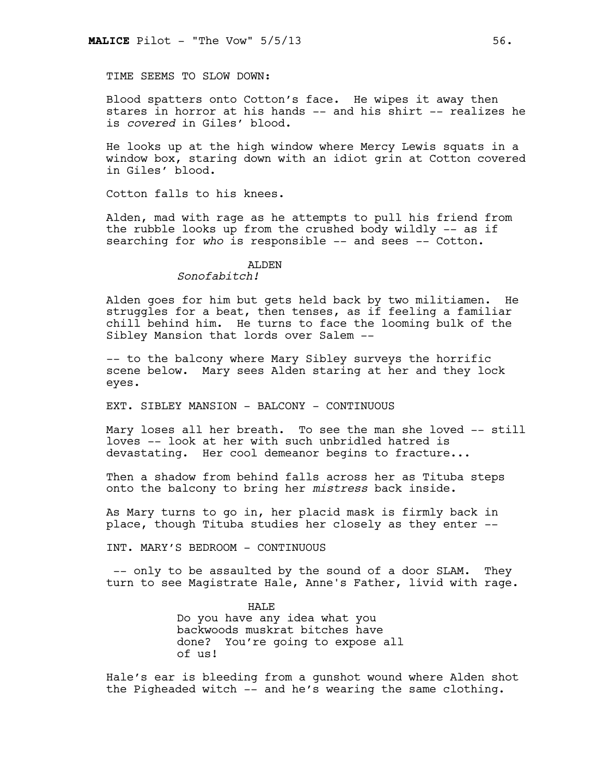TIME SEEMS TO SLOW DOWN:

Blood spatters onto Cotton's face. He wipes it away then stares in horror at his hands -- and his shirt -- realizes he is *covered* in Giles' blood.

He looks up at the high window where Mercy Lewis squats in a window box, staring down with an idiot grin at Cotton covered in Giles' blood.

Cotton falls to his knees.

Alden, mad with rage as he attempts to pull his friend from the rubble looks up from the crushed body wildly -- as if searching for who is responsible -- and sees -- Cotton.

# ALDEN

# *Sonofabitch!*

Alden goes for him but gets held back by two militiamen. He struggles for a beat, then tenses, as if feeling a familiar chill behind him. He turns to face the looming bulk of the Sibley Mansion that lords over Salem --

-- to the balcony where Mary Sibley surveys the horrific scene below. Mary sees Alden staring at her and they lock eyes.

EXT. SIBLEY MANSION - BALCONY - CONTINUOUS

Mary loses all her breath. To see the man she loved -- still loves -- look at her with such unbridled hatred is devastating. Her cool demeanor begins to fracture...

Then a shadow from behind falls across her as Tituba steps onto the balcony to bring her *mistress* back inside.

As Mary turns to go in, her placid mask is firmly back in place, though Tituba studies her closely as they enter --

INT. MARY'S BEDROOM - CONTINUOUS

 -- only to be assaulted by the sound of a door SLAM. They turn to see Magistrate Hale, Anne's Father, livid with rage.

> HALE Do you have any idea what you backwoods muskrat bitches have done? You're going to expose all of us!

Hale's ear is bleeding from a gunshot wound where Alden shot the Pigheaded witch -- and he's wearing the same clothing.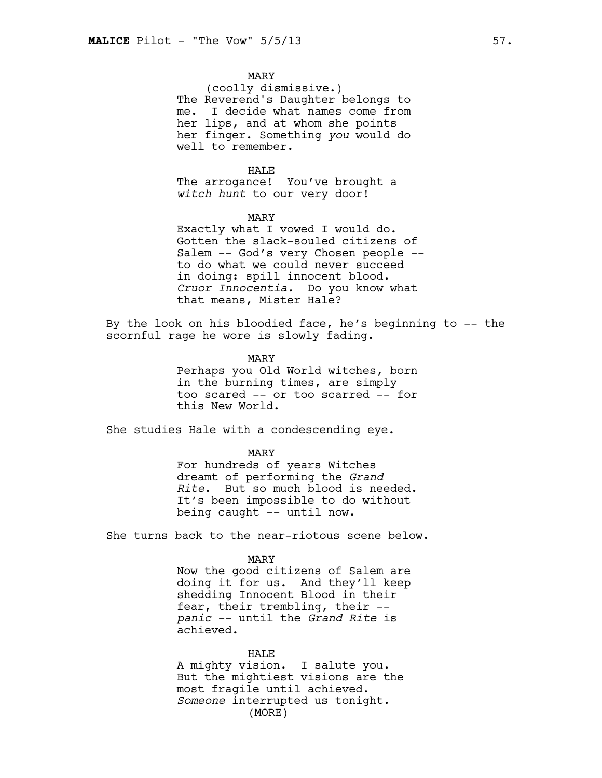## MARY

(coolly dismissive.) The Reverend's Daughter belongs to me. I decide what names come from her lips, and at whom she points her finger. Something *you* would do well to remember.

#### HALE

The **arrogance!** You've brought a *witch hunt* to our very door!

#### MARY

Exactly what I vowed I would do. Gotten the slack-souled citizens of Salem -- God's very Chosen people - to do what we could never succeed in doing: spill innocent blood. *Cruor Innocentia.* Do you know what that means, Mister Hale?

By the look on his bloodied face, he's beginning to -- the scornful rage he wore is slowly fading.

> MARY Perhaps you Old World witches, born in the burning times, are simply too scared -- or too scarred -- for this New World.

She studies Hale with a condescending eye.

#### MARY

For hundreds of years Witches dreamt of performing the *Grand Rite*. But so much blood is needed. It's been impossible to do without being caught -- until now.

She turns back to the near-riotous scene below.

MARY

Now the good citizens of Salem are doing it for us. And they'll keep shedding Innocent Blood in their fear, their trembling, their - *panic* -- until the *Grand Rite* is achieved.

HALE A mighty vision. I salute you. But the mightiest visions are the most fragile until achieved. *Someone* interrupted us tonight. (MORE)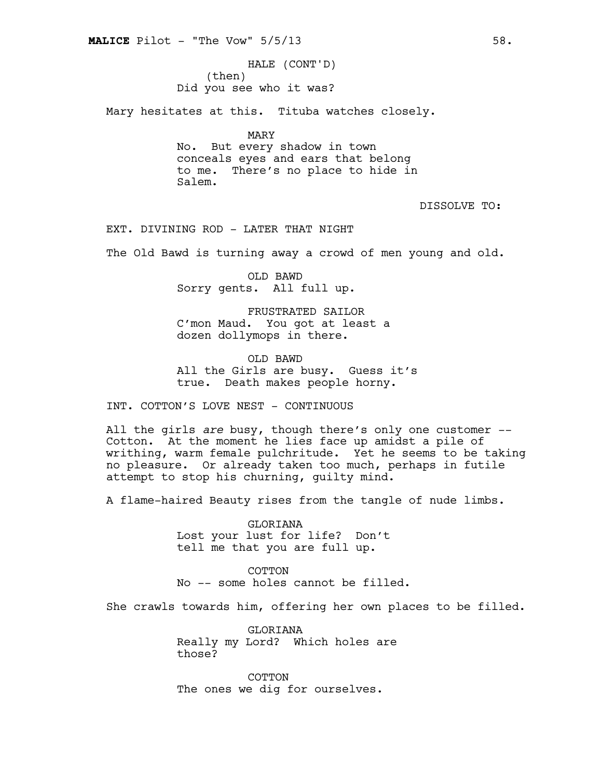(then) Did you see who it was? HALE (CONT'D)

Mary hesitates at this. Tituba watches closely.

MARY No. But every shadow in town conceals eyes and ears that belong to me. There's no place to hide in Salem.

DISSOLVE TO:

EXT. DIVINING ROD - LATER THAT NIGHT

The Old Bawd is turning away a crowd of men young and old.

OLD BAWD Sorry gents. All full up.

FRUSTRATED SAILOR C'mon Maud. You got at least a dozen dollymops in there.

OLD BAWD All the Girls are busy. Guess it's true. Death makes people horny.

INT. COTTON'S LOVE NEST - CONTINUOUS

All the girls *are* busy, though there's only one customer -- Cotton. At the moment he lies face up amidst a pile of writhing, warm female pulchritude. Yet he seems to be taking no pleasure. Or already taken too much, perhaps in futile attempt to stop his churning, guilty mind.

A flame-haired Beauty rises from the tangle of nude limbs.

GLORIANA Lost your lust for life? Don't tell me that you are full up.

**COTTON** No -- some holes cannot be filled.

She crawls towards him, offering her own places to be filled.

GLORIANA Really my Lord? Which holes are those?

COTTON The ones we dig for ourselves.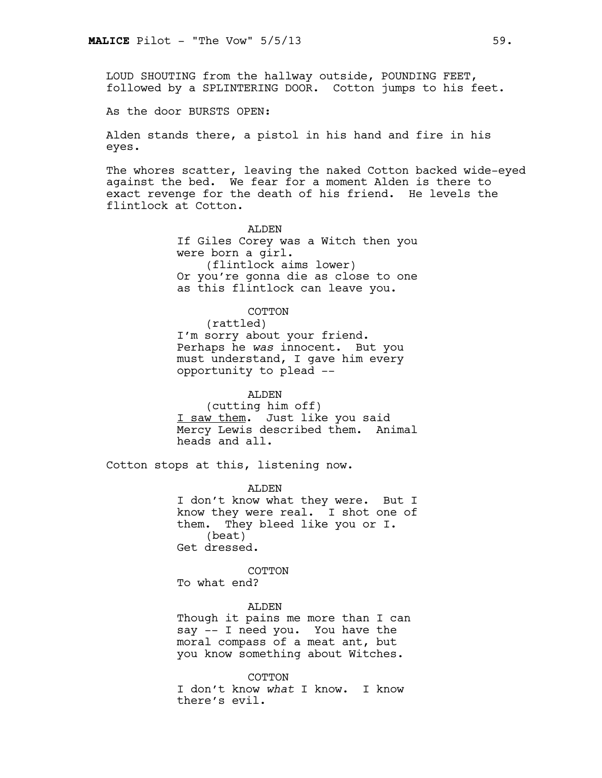LOUD SHOUTING from the hallway outside, POUNDING FEET, followed by a SPLINTERING DOOR. Cotton jumps to his feet.

As the door BURSTS OPEN:

Alden stands there, a pistol in his hand and fire in his eyes.

The whores scatter, leaving the naked Cotton backed wide-eyed against the bed. We fear for a moment Alden is there to exact revenge for the death of his friend. He levels the flintlock at Cotton.

> ALDEN If Giles Corey was a Witch then you were born a girl. (flintlock aims lower) Or you're gonna die as close to one as this flintlock can leave you.

# COTTON

(rattled) I'm sorry about your friend. Perhaps he *was* innocent. But you must understand, I gave him every opportunity to plead --

ALDEN (cutting him off) I saw them. Just like you said Mercy Lewis described them. Animal heads and all.

Cotton stops at this, listening now.

ALDEN I don't know what they were. But I know they were real. I shot one of them. They bleed like you or I. (beat) Get dressed.

COTTON

To what end?

ALDEN Though it pains me more than I can say -- I need you. You have the moral compass of a meat ant, but you know something about Witches.

COTTON I don't know *what* I know. I know there's evil.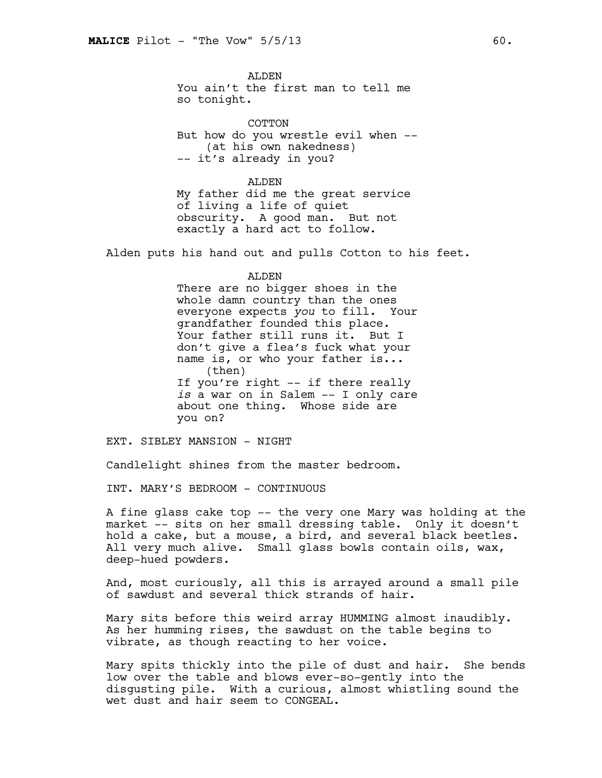ALDEN You ain't the first man to tell me so tonight.

COTTON But how do you wrestle evil when -- (at his own nakedness) -- it's already in you?

ALDEN My father did me the great service of living a life of quiet obscurity. A good man. But not exactly a hard act to follow.

Alden puts his hand out and pulls Cotton to his feet.

#### ALDEN

There are no bigger shoes in the whole damn country than the ones everyone expects *you* to fill. Your grandfather founded this place. Your father still runs it. But I don't give a flea's fuck what your name is, or who your father is... (then) If you're right -- if there really *is* a war on in Salem -- I only care about one thing. Whose side are you on?

EXT. SIBLEY MANSION - NIGHT

Candlelight shines from the master bedroom.

INT. MARY'S BEDROOM - CONTINUOUS

A fine glass cake top -- the very one Mary was holding at the market -- sits on her small dressing table. Only it doesn't hold a cake, but a mouse, a bird, and several black beetles. All very much alive. Small glass bowls contain oils, wax, deep-hued powders.

And, most curiously, all this is arrayed around a small pile of sawdust and several thick strands of hair.

Mary sits before this weird array HUMMING almost inaudibly. As her humming rises, the sawdust on the table begins to vibrate, as though reacting to her voice.

Mary spits thickly into the pile of dust and hair. She bends low over the table and blows ever-so-gently into the disgusting pile. With a curious, almost whistling sound the wet dust and hair seem to CONGEAL.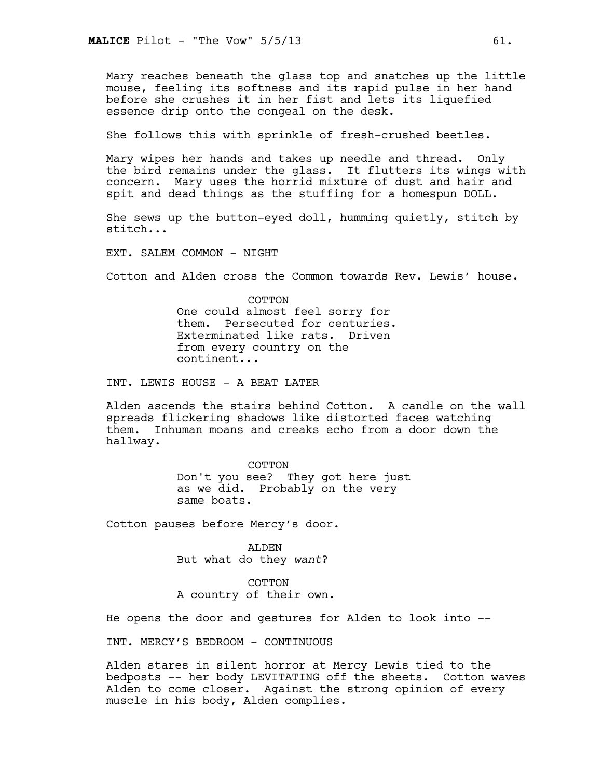Mary reaches beneath the glass top and snatches up the little mouse, feeling its softness and its rapid pulse in her hand before she crushes it in her fist and lets its liquefied essence drip onto the congeal on the desk.

She follows this with sprinkle of fresh-crushed beetles.

Mary wipes her hands and takes up needle and thread. Only the bird remains under the glass. It flutters its wings with concern. Mary uses the horrid mixture of dust and hair and spit and dead things as the stuffing for a homespun DOLL.

She sews up the button-eyed doll, humming quietly, stitch by stitch...

EXT. SALEM COMMON - NIGHT

Cotton and Alden cross the Common towards Rev. Lewis' house.

COTTON One could almost feel sorry for them. Persecuted for centuries. Exterminated like rats. Driven from every country on the continent...

INT. LEWIS HOUSE - A BEAT LATER

Alden ascends the stairs behind Cotton. A candle on the wall spreads flickering shadows like distorted faces watching them. Inhuman moans and creaks echo from a door down the hallway.

> COTTON Don't you see? They got here just as we did. Probably on the very same boats.

Cotton pauses before Mercy's door.

ALDEN But what do they *want*?

COTTON A country of their own.

He opens the door and gestures for Alden to look into --

INT. MERCY'S BEDROOM - CONTINUOUS

Alden stares in silent horror at Mercy Lewis tied to the bedposts -- her body LEVITATING off the sheets. Cotton waves Alden to come closer. Against the strong opinion of every muscle in his body, Alden complies.